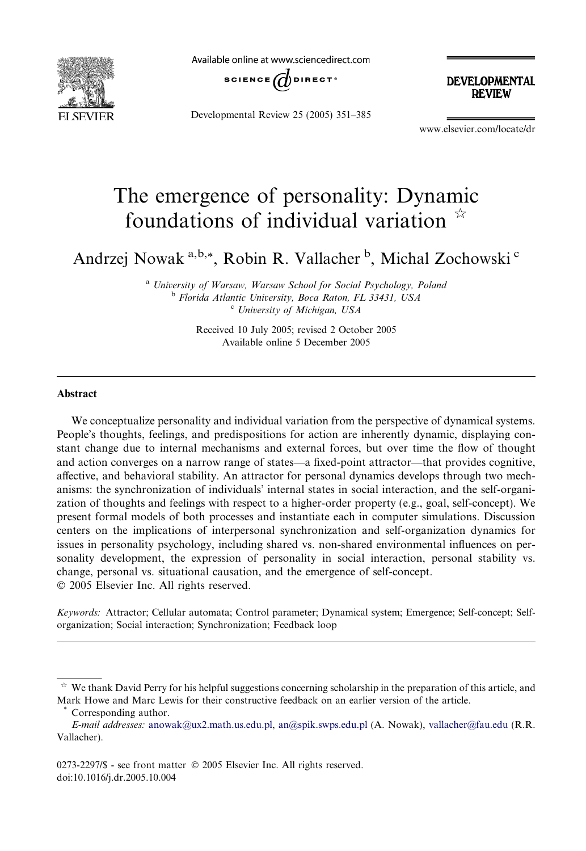

Available online at www.sciencedirect.com



Developmental Review 25 (2005) 351–385

**DEVELOPMENTAL DF VIFW** 

www.elsevier.com/locate/dr

# The emergence of personality: Dynamic foundations of individual variation  $\overline{a}$

Andrzej Nowak<sup>a,b,\*</sup>, Robin R. Vallacher<sup>b</sup>, Michal Zochowski<sup>c</sup>

<sup>a</sup> University of Warsaw, Warsaw School for Social Psychology, Poland <sup>b</sup> Florida Atlantic University, Boca Raton, FL 33431, USA <sup>c</sup> University of Michigan, USA

> Received 10 July 2005; revised 2 October 2005 Available online 5 December 2005

#### Abstract

We conceptualize personality and individual variation from the perspective of dynamical systems. People's thoughts, feelings, and predispositions for action are inherently dynamic, displaying constant change due to internal mechanisms and external forces, but over time the flow of thought and action converges on a narrow range of states—a fixed-point attractor—that provides cognitive, affective, and behavioral stability. An attractor for personal dynamics develops through two mechanisms: the synchronization of individuals' internal states in social interaction, and the self-organization of thoughts and feelings with respect to a higher-order property (e.g., goal, self-concept). We present formal models of both processes and instantiate each in computer simulations. Discussion centers on the implications of interpersonal synchronization and self-organization dynamics for issues in personality psychology, including shared vs. non-shared environmental influences on personality development, the expression of personality in social interaction, personal stability vs. change, personal vs. situational causation, and the emergence of self-concept. 2005 Elsevier Inc. All rights reserved.

Keywords: Attractor; Cellular automata; Control parameter; Dynamical system; Emergence; Self-concept; Selforganization; Social interaction; Synchronization; Feedback loop

We thank David Perry for his helpful suggestions concerning scholarship in the preparation of this article, and Mark Howe and Marc Lewis for their constructive feedback on an earlier version of the article.

Corresponding author.

E-mail addresses: [anowak@ux2.math.us.edu.pl,](mailto:anowak@ux2.math.us.edu.pl) [an@spik.swps.edu.pl](mailto:an@spik.swps.edu.pl) (A. Nowak), [vallacher@fau.edu](mailto:vallacher@fau.edu) (R.R. Vallacher).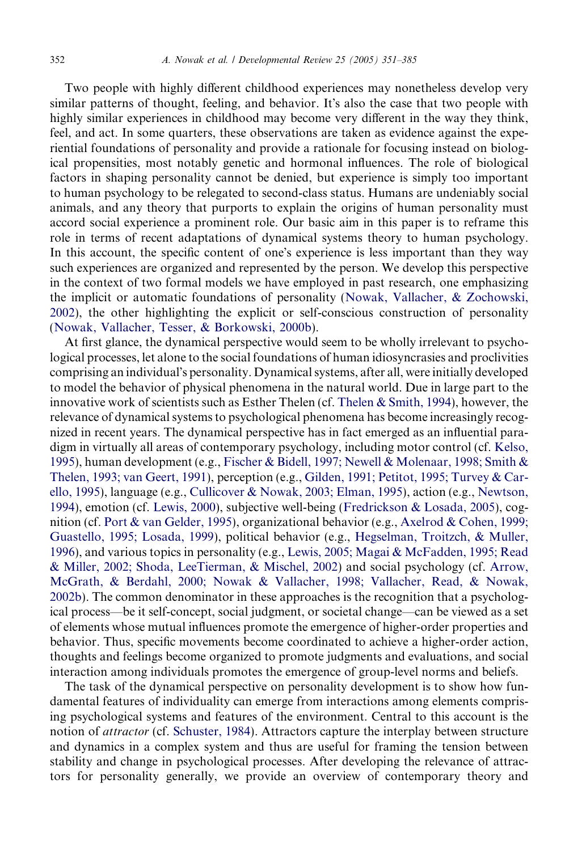Two people with highly different childhood experiences may nonetheless develop very similar patterns of thought, feeling, and behavior. It's also the case that two people with highly similar experiences in childhood may become very different in the way they think, feel, and act. In some quarters, these observations are taken as evidence against the experiential foundations of personality and provide a rationale for focusing instead on biological propensities, most notably genetic and hormonal influences. The role of biological factors in shaping personality cannot be denied, but experience is simply too important to human psychology to be relegated to second-class status. Humans are undeniably social animals, and any theory that purports to explain the origins of human personality must accord social experience a prominent role. Our basic aim in this paper is to reframe this role in terms of recent adaptations of dynamical systems theory to human psychology. In this account, the specific content of one's experience is less important than they way such experiences are organized and represented by the person. We develop this perspective in the context of two formal models we have employed in past research, one emphasizing the implicit or automatic foundations of personality ([Nowak, Vallacher, & Zochowski,](#page-32-0) [2002\)](#page-32-0), the other highlighting the explicit or self-conscious construction of personality [\(Nowak, Vallacher, Tesser, & Borkowski, 2000b\)](#page-32-0).

At first glance, the dynamical perspective would seem to be wholly irrelevant to psychological processes, let alone to the social foundations of human idiosyncrasies and proclivities comprising an individual's personality. Dynamical systems, after all, were initially developed to model the behavior of physical phenomena in the natural world. Due in large part to the innovative work of scientists such as Esther Thelen (cf. [Thelen & Smith, 1994\)](#page-33-0), however, the relevance of dynamical systems to psychological phenomena has become increasingly recognized in recent years. The dynamical perspective has in fact emerged as an influential paradigm in virtually all areas of contemporary psychology, including motor control (cf. [Kelso,](#page-31-0) [1995\)](#page-31-0), human development (e.g., [Fischer & Bidell, 1997; Newell & Molenaar, 1998; Smith &](#page-31-0) [Thelen, 1993; van Geert, 1991](#page-31-0)), perception (e.g., [Gilden, 1991; Petitot, 1995; Turvey & Car](#page-31-0)[ello, 1995\)](#page-31-0), language (e.g., [Cullicover & Nowak, 2003; Elman, 1995\)](#page-31-0), action (e.g., [Newtson,](#page-32-0) [1994\)](#page-32-0), emotion (cf. [Lewis, 2000](#page-32-0)), subjective well-being [\(Fredrickson & Losada, 2005\)](#page-31-0), cognition (cf. [Port & van Gelder, 1995](#page-33-0)), organizational behavior (e.g., [Axelrod & Cohen, 1999;](#page-30-0) [Guastello, 1995; Losada, 1999\)](#page-30-0), political behavior (e.g., [Hegselman, Troitzch, & Muller,](#page-31-0) [1996\)](#page-31-0), and various topics in personality (e.g., [Lewis, 2005; Magai & McFadden, 1995; Read](#page-32-0) [& Miller, 2002; Shoda, LeeTierman, & Mischel, 2002\)](#page-32-0) and social psychology (cf. [Arrow,](#page-30-0) [McGrath, & Berdahl, 2000; Nowak & Vallacher, 1998; Vallacher, Read, & Nowak,](#page-30-0) [2002b](#page-30-0)). The common denominator in these approaches is the recognition that a psychological process—be it self-concept, social judgment, or societal change—can be viewed as a set of elements whose mutual influences promote the emergence of higher-order properties and behavior. Thus, specific movements become coordinated to achieve a higher-order action, thoughts and feelings become organized to promote judgments and evaluations, and social interaction among individuals promotes the emergence of group-level norms and beliefs.

The task of the dynamical perspective on personality development is to show how fundamental features of individuality can emerge from interactions among elements comprising psychological systems and features of the environment. Central to this account is the notion of attractor (cf. [Schuster, 1984](#page-33-0)). Attractors capture the interplay between structure and dynamics in a complex system and thus are useful for framing the tension between stability and change in psychological processes. After developing the relevance of attractors for personality generally, we provide an overview of contemporary theory and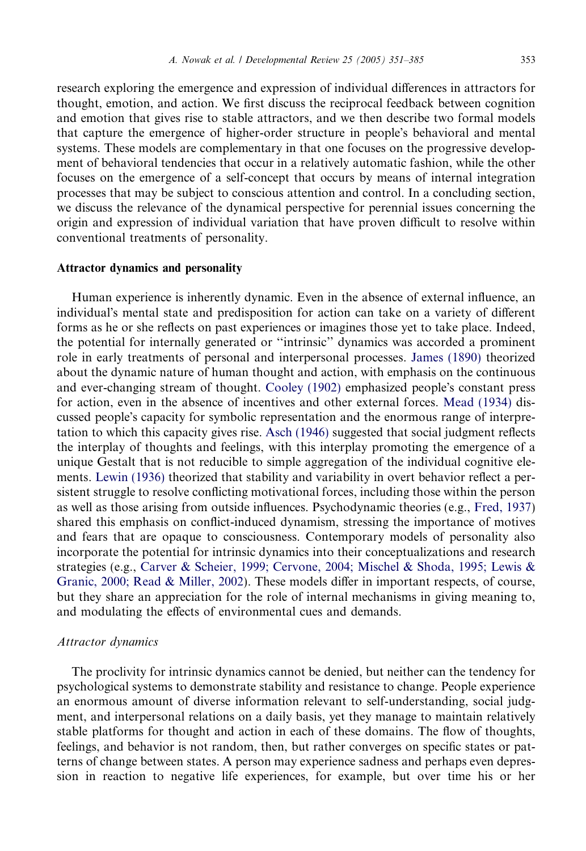research exploring the emergence and expression of individual differences in attractors for thought, emotion, and action. We first discuss the reciprocal feedback between cognition and emotion that gives rise to stable attractors, and we then describe two formal models that capture the emergence of higher-order structure in people's behavioral and mental systems. These models are complementary in that one focuses on the progressive development of behavioral tendencies that occur in a relatively automatic fashion, while the other focuses on the emergence of a self-concept that occurs by means of internal integration processes that may be subject to conscious attention and control. In a concluding section, we discuss the relevance of the dynamical perspective for perennial issues concerning the origin and expression of individual variation that have proven difficult to resolve within conventional treatments of personality.

## Attractor dynamics and personality

Human experience is inherently dynamic. Even in the absence of external influence, an individual's mental state and predisposition for action can take on a variety of different forms as he or she reflects on past experiences or imagines those yet to take place. Indeed, the potential for internally generated or ''intrinsic'' dynamics was accorded a prominent role in early treatments of personal and interpersonal processes. [James \(1890\)](#page-31-0) theorized about the dynamic nature of human thought and action, with emphasis on the continuous and ever-changing stream of thought. [Cooley \(1902\)](#page-31-0) emphasized people's constant press for action, even in the absence of incentives and other external forces. [Mead \(1934\)](#page-32-0) discussed people's capacity for symbolic representation and the enormous range of interpretation to which this capacity gives rise. [Asch \(1946\)](#page-30-0) suggested that social judgment reflects the interplay of thoughts and feelings, with this interplay promoting the emergence of a unique Gestalt that is not reducible to simple aggregation of the individual cognitive elements. [Lewin \(1936\)](#page-32-0) theorized that stability and variability in overt behavior reflect a persistent struggle to resolve conflicting motivational forces, including those within the person as well as those arising from outside influences. Psychodynamic theories (e.g., [Fred, 1937\)](#page-31-0) shared this emphasis on conflict-induced dynamism, stressing the importance of motives and fears that are opaque to consciousness. Contemporary models of personality also incorporate the potential for intrinsic dynamics into their conceptualizations and research strategies (e.g., [Carver & Scheier, 1999; Cervone, 2004; Mischel & Shoda, 1995; Lewis &](#page-30-0) [Granic, 2000; Read & Miller, 2002\)](#page-30-0). These models differ in important respects, of course, but they share an appreciation for the role of internal mechanisms in giving meaning to, and modulating the effects of environmental cues and demands.

# Attractor dynamics

The proclivity for intrinsic dynamics cannot be denied, but neither can the tendency for psychological systems to demonstrate stability and resistance to change. People experience an enormous amount of diverse information relevant to self-understanding, social judgment, and interpersonal relations on a daily basis, yet they manage to maintain relatively stable platforms for thought and action in each of these domains. The flow of thoughts, feelings, and behavior is not random, then, but rather converges on specific states or patterns of change between states. A person may experience sadness and perhaps even depression in reaction to negative life experiences, for example, but over time his or her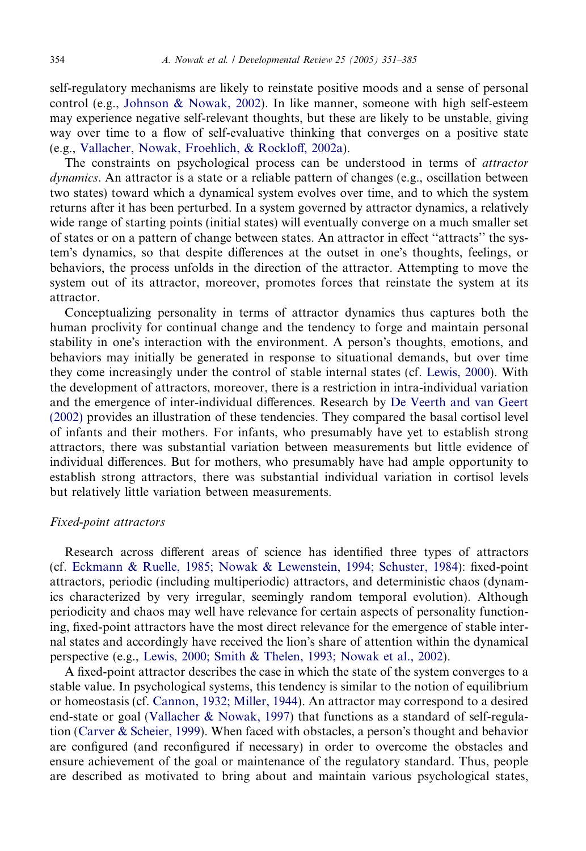self-regulatory mechanisms are likely to reinstate positive moods and a sense of personal control (e.g., [Johnson & Nowak, 2002](#page-31-0)). In like manner, someone with high self-esteem may experience negative self-relevant thoughts, but these are likely to be unstable, giving way over time to a flow of self-evaluative thinking that converges on a positive state (e.g., [Vallacher, Nowak, Froehlich, & Rockloff, 2002a\)](#page-33-0).

The constraints on psychological process can be understood in terms of attractor *dynamics*. An attractor is a state or a reliable pattern of changes (e.g., oscillation between two states) toward which a dynamical system evolves over time, and to which the system returns after it has been perturbed. In a system governed by attractor dynamics, a relatively wide range of starting points (initial states) will eventually converge on a much smaller set of states or on a pattern of change between states. An attractor in effect ''attracts'' the system's dynamics, so that despite differences at the outset in one's thoughts, feelings, or behaviors, the process unfolds in the direction of the attractor. Attempting to move the system out of its attractor, moreover, promotes forces that reinstate the system at its attractor.

Conceptualizing personality in terms of attractor dynamics thus captures both the human proclivity for continual change and the tendency to forge and maintain personal stability in one's interaction with the environment. A person's thoughts, emotions, and behaviors may initially be generated in response to situational demands, but over time they come increasingly under the control of stable internal states (cf. [Lewis, 2000\)](#page-32-0). With the development of attractors, moreover, there is a restriction in intra-individual variation and the emergence of inter-individual differences. Research by [De Veerth and van Geert](#page-31-0) [\(2002\)](#page-31-0) provides an illustration of these tendencies. They compared the basal cortisol level of infants and their mothers. For infants, who presumably have yet to establish strong attractors, there was substantial variation between measurements but little evidence of individual differences. But for mothers, who presumably have had ample opportunity to establish strong attractors, there was substantial individual variation in cortisol levels but relatively little variation between measurements.

## Fixed-point attractors

Research across different areas of science has identified three types of attractors (cf. [Eckmann & Ruelle, 1985; Nowak & Lewenstein, 1994; Schuster, 1984](#page-31-0)): fixed-point attractors, periodic (including multiperiodic) attractors, and deterministic chaos (dynamics characterized by very irregular, seemingly random temporal evolution). Although periodicity and chaos may well have relevance for certain aspects of personality functioning, fixed-point attractors have the most direct relevance for the emergence of stable internal states and accordingly have received the lion's share of attention within the dynamical perspective (e.g., [Lewis, 2000; Smith & Thelen, 1993; Nowak et al., 2002](#page-32-0)).

A fixed-point attractor describes the case in which the state of the system converges to a stable value. In psychological systems, this tendency is similar to the notion of equilibrium or homeostasis (cf. [Cannon, 1932; Miller, 1944\)](#page-30-0). An attractor may correspond to a desired end-state or goal [\(Vallacher & Nowak, 1997\)](#page-33-0) that functions as a standard of self-regula-tion ([Carver & Scheier, 1999](#page-30-0)). When faced with obstacles, a person's thought and behavior are configured (and reconfigured if necessary) in order to overcome the obstacles and ensure achievement of the goal or maintenance of the regulatory standard. Thus, people are described as motivated to bring about and maintain various psychological states,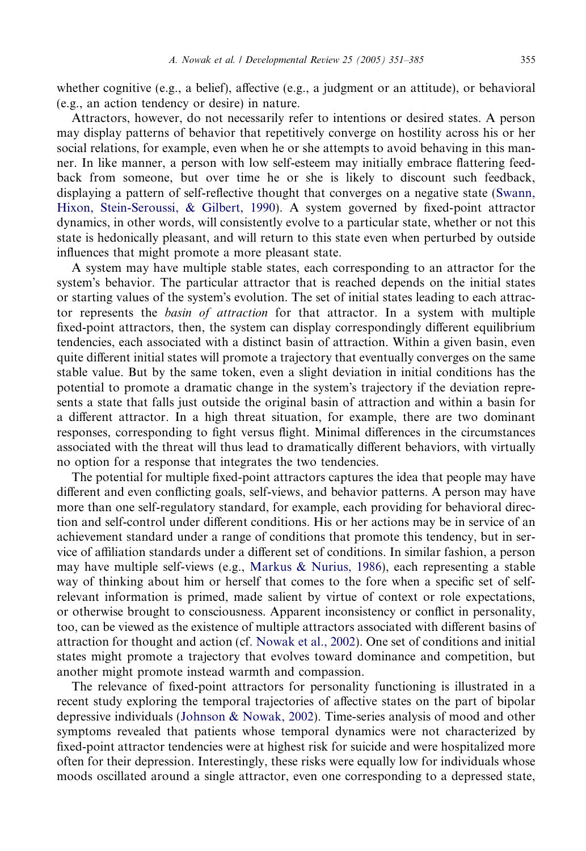whether cognitive (e.g., a belief), affective (e.g., a judgment or an attitude), or behavioral (e.g., an action tendency or desire) in nature.

Attractors, however, do not necessarily refer to intentions or desired states. A person may display patterns of behavior that repetitively converge on hostility across his or her social relations, for example, even when he or she attempts to avoid behaving in this manner. In like manner, a person with low self-esteem may initially embrace flattering feedback from someone, but over time he or she is likely to discount such feedback, displaying a pattern of self-reflective thought that converges on a negative state ([Swann,](#page-33-0) [Hixon, Stein-Seroussi, & Gilbert, 1990](#page-33-0)). A system governed by fixed-point attractor dynamics, in other words, will consistently evolve to a particular state, whether or not this state is hedonically pleasant, and will return to this state even when perturbed by outside influences that might promote a more pleasant state.

A system may have multiple stable states, each corresponding to an attractor for the system's behavior. The particular attractor that is reached depends on the initial states or starting values of the system's evolution. The set of initial states leading to each attractor represents the *basin of attraction* for that attractor. In a system with multiple fixed-point attractors, then, the system can display correspondingly different equilibrium tendencies, each associated with a distinct basin of attraction. Within a given basin, even quite different initial states will promote a trajectory that eventually converges on the same stable value. But by the same token, even a slight deviation in initial conditions has the potential to promote a dramatic change in the system's trajectory if the deviation represents a state that falls just outside the original basin of attraction and within a basin for a different attractor. In a high threat situation, for example, there are two dominant responses, corresponding to fight versus flight. Minimal differences in the circumstances associated with the threat will thus lead to dramatically different behaviors, with virtually no option for a response that integrates the two tendencies.

The potential for multiple fixed-point attractors captures the idea that people may have different and even conflicting goals, self-views, and behavior patterns. A person may have more than one self-regulatory standard, for example, each providing for behavioral direction and self-control under different conditions. His or her actions may be in service of an achievement standard under a range of conditions that promote this tendency, but in service of affiliation standards under a different set of conditions. In similar fashion, a person may have multiple self-views (e.g., [Markus & Nurius, 1986\)](#page-32-0), each representing a stable way of thinking about him or herself that comes to the fore when a specific set of selfrelevant information is primed, made salient by virtue of context or role expectations, or otherwise brought to consciousness. Apparent inconsistency or conflict in personality, too, can be viewed as the existence of multiple attractors associated with different basins of attraction for thought and action (cf. [Nowak et al., 2002](#page-32-0)). One set of conditions and initial states might promote a trajectory that evolves toward dominance and competition, but another might promote instead warmth and compassion.

The relevance of fixed-point attractors for personality functioning is illustrated in a recent study exploring the temporal trajectories of affective states on the part of bipolar depressive individuals [\(Johnson & Nowak, 2002\)](#page-31-0). Time-series analysis of mood and other symptoms revealed that patients whose temporal dynamics were not characterized by fixed-point attractor tendencies were at highest risk for suicide and were hospitalized more often for their depression. Interestingly, these risks were equally low for individuals whose moods oscillated around a single attractor, even one corresponding to a depressed state,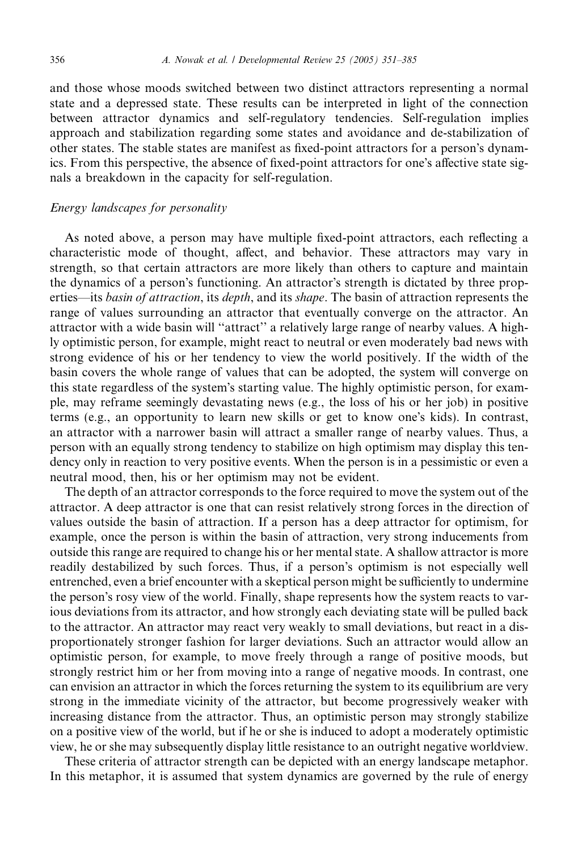and those whose moods switched between two distinct attractors representing a normal state and a depressed state. These results can be interpreted in light of the connection between attractor dynamics and self-regulatory tendencies. Self-regulation implies approach and stabilization regarding some states and avoidance and de-stabilization of other states. The stable states are manifest as fixed-point attractors for a person's dynamics. From this perspective, the absence of fixed-point attractors for one's affective state signals a breakdown in the capacity for self-regulation.

# Energy landscapes for personality

As noted above, a person may have multiple fixed-point attractors, each reflecting a characteristic mode of thought, affect, and behavior. These attractors may vary in strength, so that certain attractors are more likely than others to capture and maintain the dynamics of a person's functioning. An attractor's strength is dictated by three properties—its basin of attraction, its depth, and its shape. The basin of attraction represents the range of values surrounding an attractor that eventually converge on the attractor. An attractor with a wide basin will ''attract'' a relatively large range of nearby values. A highly optimistic person, for example, might react to neutral or even moderately bad news with strong evidence of his or her tendency to view the world positively. If the width of the basin covers the whole range of values that can be adopted, the system will converge on this state regardless of the system's starting value. The highly optimistic person, for example, may reframe seemingly devastating news (e.g., the loss of his or her job) in positive terms (e.g., an opportunity to learn new skills or get to know one's kids). In contrast, an attractor with a narrower basin will attract a smaller range of nearby values. Thus, a person with an equally strong tendency to stabilize on high optimism may display this tendency only in reaction to very positive events. When the person is in a pessimistic or even a neutral mood, then, his or her optimism may not be evident.

The depth of an attractor corresponds to the force required to move the system out of the attractor. A deep attractor is one that can resist relatively strong forces in the direction of values outside the basin of attraction. If a person has a deep attractor for optimism, for example, once the person is within the basin of attraction, very strong inducements from outside this range are required to change his or her mental state. A shallow attractor is more readily destabilized by such forces. Thus, if a person's optimism is not especially well entrenched, even a brief encounter with a skeptical person might be sufficiently to undermine the person's rosy view of the world. Finally, shape represents how the system reacts to various deviations from its attractor, and how strongly each deviating state will be pulled back to the attractor. An attractor may react very weakly to small deviations, but react in a disproportionately stronger fashion for larger deviations. Such an attractor would allow an optimistic person, for example, to move freely through a range of positive moods, but strongly restrict him or her from moving into a range of negative moods. In contrast, one can envision an attractor in which the forces returning the system to its equilibrium are very strong in the immediate vicinity of the attractor, but become progressively weaker with increasing distance from the attractor. Thus, an optimistic person may strongly stabilize on a positive view of the world, but if he or she is induced to adopt a moderately optimistic view, he or she may subsequently display little resistance to an outright negative worldview.

These criteria of attractor strength can be depicted with an energy landscape metaphor. In this metaphor, it is assumed that system dynamics are governed by the rule of energy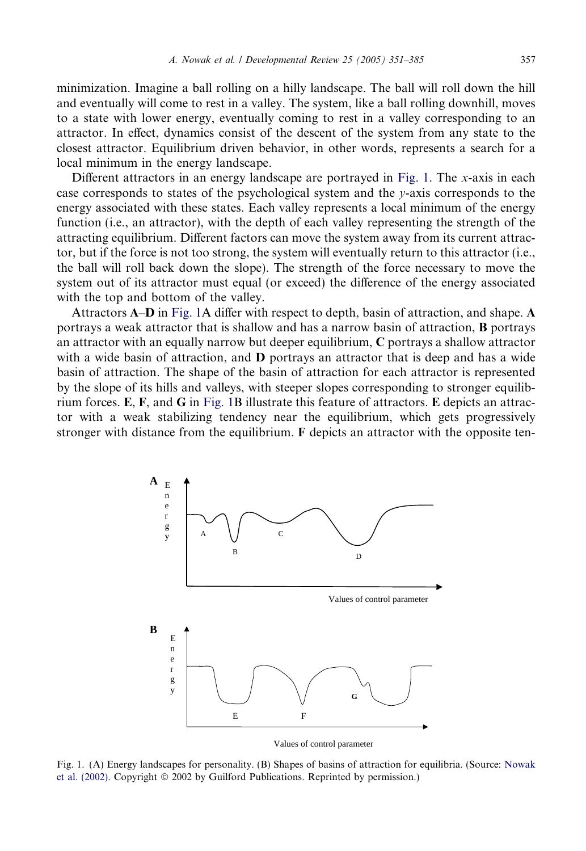minimization. Imagine a ball rolling on a hilly landscape. The ball will roll down the hill and eventually will come to rest in a valley. The system, like a ball rolling downhill, moves to a state with lower energy, eventually coming to rest in a valley corresponding to an attractor. In effect, dynamics consist of the descent of the system from any state to the closest attractor. Equilibrium driven behavior, in other words, represents a search for a local minimum in the energy landscape.

Different attractors in an energy landscape are portrayed in Fig. 1. The x-axis in each case corresponds to states of the psychological system and the  $y$ -axis corresponds to the energy associated with these states. Each valley represents a local minimum of the energy function (i.e., an attractor), with the depth of each valley representing the strength of the attracting equilibrium. Different factors can move the system away from its current attractor, but if the force is not too strong, the system will eventually return to this attractor (i.e., the ball will roll back down the slope). The strength of the force necessary to move the system out of its attractor must equal (or exceed) the difference of the energy associated with the top and bottom of the valley.

Attractors A–D in Fig. 1A differ with respect to depth, basin of attraction, and shape. A portrays a weak attractor that is shallow and has a narrow basin of attraction, B portrays an attractor with an equally narrow but deeper equilibrium,  $C$  portrays a shallow attractor with a wide basin of attraction, and  **portrays an attractor that is deep and has a wide** basin of attraction. The shape of the basin of attraction for each attractor is represented by the slope of its hills and valleys, with steeper slopes corresponding to stronger equilibrium forces. E, F, and G in Fig. 1B illustrate this feature of attractors. E depicts an attractor with a weak stabilizing tendency near the equilibrium, which gets progressively stronger with distance from the equilibrium. F depicts an attractor with the opposite ten-



Values of control parameter

Fig. 1. (A) Energy landscapes for personality. (B) Shapes of basins of attraction for equilibria. (Source: [Nowak](#page-32-0) [et al. \(2002\)](#page-32-0). Copyright  $\odot$  2002 by Guilford Publications. Reprinted by permission.)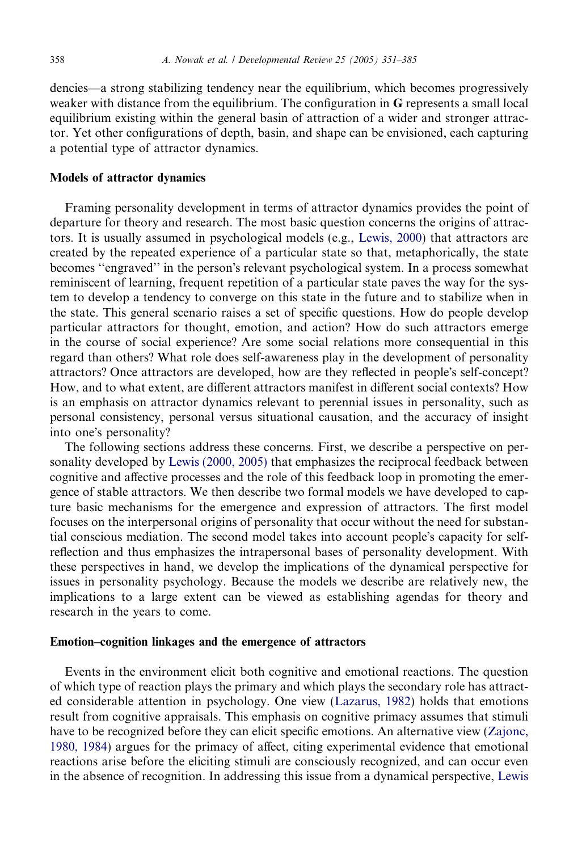dencies—a strong stabilizing tendency near the equilibrium, which becomes progressively weaker with distance from the equilibrium. The configuration in  **represents a small local** equilibrium existing within the general basin of attraction of a wider and stronger attractor. Yet other configurations of depth, basin, and shape can be envisioned, each capturing a potential type of attractor dynamics.

# Models of attractor dynamics

Framing personality development in terms of attractor dynamics provides the point of departure for theory and research. The most basic question concerns the origins of attractors. It is usually assumed in psychological models (e.g., [Lewis, 2000](#page-32-0)) that attractors are created by the repeated experience of a particular state so that, metaphorically, the state becomes "engraved" in the person's relevant psychological system. In a process somewhat reminiscent of learning, frequent repetition of a particular state paves the way for the system to develop a tendency to converge on this state in the future and to stabilize when in the state. This general scenario raises a set of specific questions. How do people develop particular attractors for thought, emotion, and action? How do such attractors emerge in the course of social experience? Are some social relations more consequential in this regard than others? What role does self-awareness play in the development of personality attractors? Once attractors are developed, how are they reflected in people's self-concept? How, and to what extent, are different attractors manifest in different social contexts? How is an emphasis on attractor dynamics relevant to perennial issues in personality, such as personal consistency, personal versus situational causation, and the accuracy of insight into one's personality?

The following sections address these concerns. First, we describe a perspective on personality developed by [Lewis \(2000, 2005\)](#page-32-0) that emphasizes the reciprocal feedback between cognitive and affective processes and the role of this feedback loop in promoting the emergence of stable attractors. We then describe two formal models we have developed to capture basic mechanisms for the emergence and expression of attractors. The first model focuses on the interpersonal origins of personality that occur without the need for substantial conscious mediation. The second model takes into account peoples capacity for selfreflection and thus emphasizes the intrapersonal bases of personality development. With these perspectives in hand, we develop the implications of the dynamical perspective for issues in personality psychology. Because the models we describe are relatively new, the implications to a large extent can be viewed as establishing agendas for theory and research in the years to come.

# Emotion–cognition linkages and the emergence of attractors

Events in the environment elicit both cognitive and emotional reactions. The question of which type of reaction plays the primary and which plays the secondary role has attracted considerable attention in psychology. One view [\(Lazarus, 1982](#page-31-0)) holds that emotions result from cognitive appraisals. This emphasis on cognitive primacy assumes that stimuli have to be recognized before they can elicit specific emotions. An alternative view ([Zajonc,](#page-34-0) [1980, 1984\)](#page-34-0) argues for the primacy of affect, citing experimental evidence that emotional reactions arise before the eliciting stimuli are consciously recognized, and can occur even in the absence of recognition. In addressing this issue from a dynamical perspective, [Lewis](#page-32-0)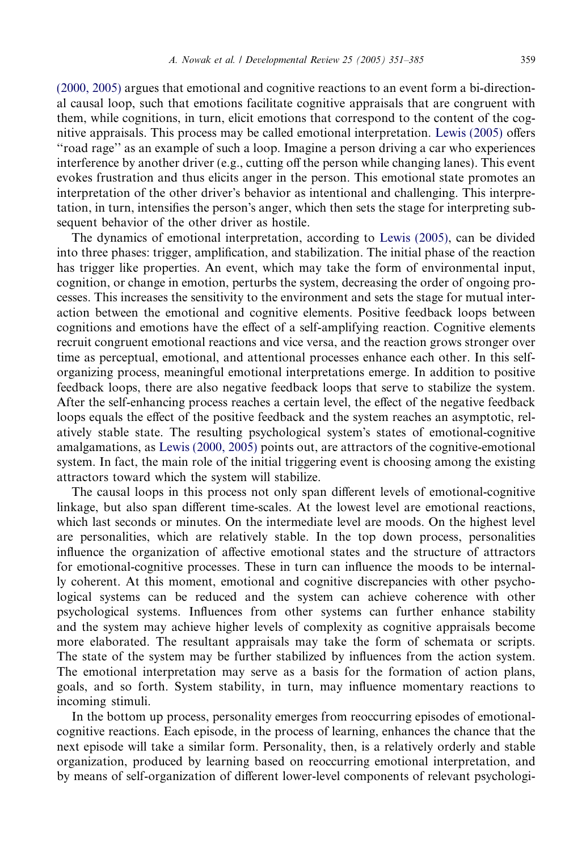[\(2000, 2005\)](#page-32-0) argues that emotional and cognitive reactions to an event form a bi-directional causal loop, such that emotions facilitate cognitive appraisals that are congruent with them, while cognitions, in turn, elicit emotions that correspond to the content of the cognitive appraisals. This process may be called emotional interpretation. [Lewis \(2005\)](#page-32-0) offers ''road rage'' as an example of such a loop. Imagine a person driving a car who experiences interference by another driver (e.g., cutting off the person while changing lanes). This event evokes frustration and thus elicits anger in the person. This emotional state promotes an interpretation of the other driver's behavior as intentional and challenging. This interpretation, in turn, intensifies the person's anger, which then sets the stage for interpreting subsequent behavior of the other driver as hostile.

The dynamics of emotional interpretation, according to [Lewis \(2005\)](#page-32-0), can be divided into three phases: trigger, amplification, and stabilization. The initial phase of the reaction has trigger like properties. An event, which may take the form of environmental input, cognition, or change in emotion, perturbs the system, decreasing the order of ongoing processes. This increases the sensitivity to the environment and sets the stage for mutual interaction between the emotional and cognitive elements. Positive feedback loops between cognitions and emotions have the effect of a self-amplifying reaction. Cognitive elements recruit congruent emotional reactions and vice versa, and the reaction grows stronger over time as perceptual, emotional, and attentional processes enhance each other. In this selforganizing process, meaningful emotional interpretations emerge. In addition to positive feedback loops, there are also negative feedback loops that serve to stabilize the system. After the self-enhancing process reaches a certain level, the effect of the negative feedback loops equals the effect of the positive feedback and the system reaches an asymptotic, relatively stable state. The resulting psychological system's states of emotional-cognitive amalgamations, as [Lewis \(2000, 2005\)](#page-32-0) points out, are attractors of the cognitive-emotional system. In fact, the main role of the initial triggering event is choosing among the existing attractors toward which the system will stabilize.

The causal loops in this process not only span different levels of emotional-cognitive linkage, but also span different time-scales. At the lowest level are emotional reactions, which last seconds or minutes. On the intermediate level are moods. On the highest level are personalities, which are relatively stable. In the top down process, personalities influence the organization of affective emotional states and the structure of attractors for emotional-cognitive processes. These in turn can influence the moods to be internally coherent. At this moment, emotional and cognitive discrepancies with other psychological systems can be reduced and the system can achieve coherence with other psychological systems. Influences from other systems can further enhance stability and the system may achieve higher levels of complexity as cognitive appraisals become more elaborated. The resultant appraisals may take the form of schemata or scripts. The state of the system may be further stabilized by influences from the action system. The emotional interpretation may serve as a basis for the formation of action plans, goals, and so forth. System stability, in turn, may influence momentary reactions to incoming stimuli.

In the bottom up process, personality emerges from reoccurring episodes of emotionalcognitive reactions. Each episode, in the process of learning, enhances the chance that the next episode will take a similar form. Personality, then, is a relatively orderly and stable organization, produced by learning based on reoccurring emotional interpretation, and by means of self-organization of different lower-level components of relevant psychologi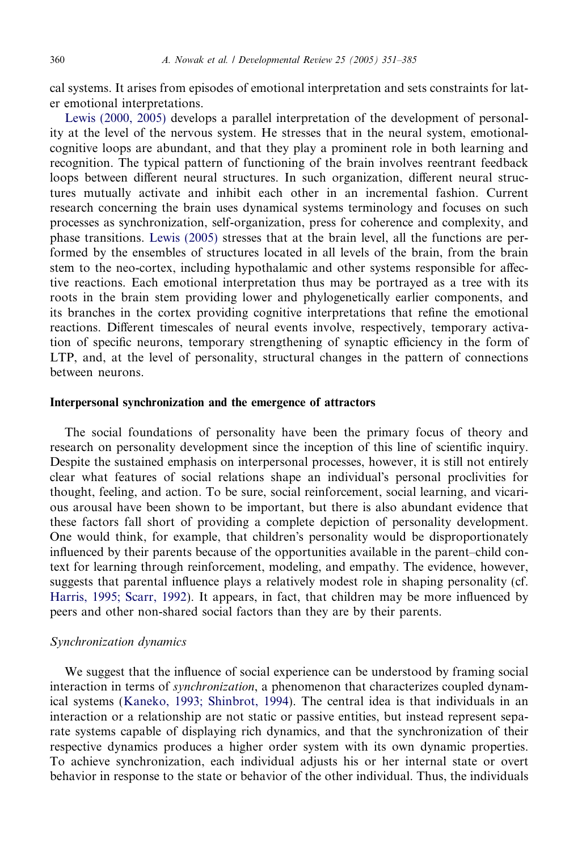cal systems. It arises from episodes of emotional interpretation and sets constraints for later emotional interpretations.

[Lewis \(2000, 2005\)](#page-32-0) develops a parallel interpretation of the development of personality at the level of the nervous system. He stresses that in the neural system, emotionalcognitive loops are abundant, and that they play a prominent role in both learning and recognition. The typical pattern of functioning of the brain involves reentrant feedback loops between different neural structures. In such organization, different neural structures mutually activate and inhibit each other in an incremental fashion. Current research concerning the brain uses dynamical systems terminology and focuses on such processes as synchronization, self-organization, press for coherence and complexity, and phase transitions. [Lewis \(2005\)](#page-32-0) stresses that at the brain level, all the functions are performed by the ensembles of structures located in all levels of the brain, from the brain stem to the neo-cortex, including hypothalamic and other systems responsible for affective reactions. Each emotional interpretation thus may be portrayed as a tree with its roots in the brain stem providing lower and phylogenetically earlier components, and its branches in the cortex providing cognitive interpretations that refine the emotional reactions. Different timescales of neural events involve, respectively, temporary activation of specific neurons, temporary strengthening of synaptic efficiency in the form of LTP, and, at the level of personality, structural changes in the pattern of connections between neurons.

#### Interpersonal synchronization and the emergence of attractors

The social foundations of personality have been the primary focus of theory and research on personality development since the inception of this line of scientific inquiry. Despite the sustained emphasis on interpersonal processes, however, it is still not entirely clear what features of social relations shape an individual's personal proclivities for thought, feeling, and action. To be sure, social reinforcement, social learning, and vicarious arousal have been shown to be important, but there is also abundant evidence that these factors fall short of providing a complete depiction of personality development. One would think, for example, that children's personality would be disproportionately influenced by their parents because of the opportunities available in the parent–child context for learning through reinforcement, modeling, and empathy. The evidence, however, suggests that parental influence plays a relatively modest role in shaping personality (cf. [Harris, 1995; Scarr, 1992](#page-31-0)). It appears, in fact, that children may be more influenced by peers and other non-shared social factors than they are by their parents.

# Synchronization dynamics

We suggest that the influence of social experience can be understood by framing social interaction in terms of *synchronization*, a phenomenon that characterizes coupled dynamical systems ([Kaneko, 1993; Shinbrot, 1994\)](#page-31-0). The central idea is that individuals in an interaction or a relationship are not static or passive entities, but instead represent separate systems capable of displaying rich dynamics, and that the synchronization of their respective dynamics produces a higher order system with its own dynamic properties. To achieve synchronization, each individual adjusts his or her internal state or overt behavior in response to the state or behavior of the other individual. Thus, the individuals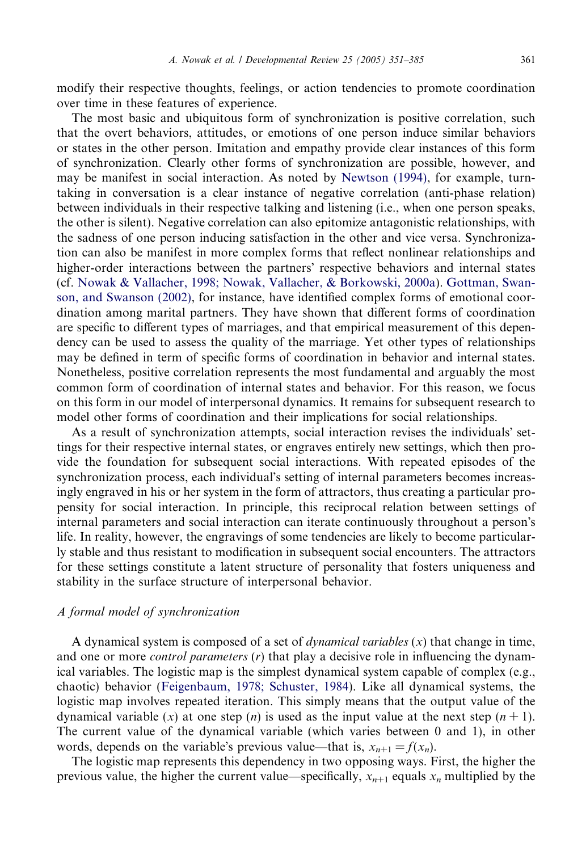modify their respective thoughts, feelings, or action tendencies to promote coordination over time in these features of experience.

The most basic and ubiquitous form of synchronization is positive correlation, such that the overt behaviors, attitudes, or emotions of one person induce similar behaviors or states in the other person. Imitation and empathy provide clear instances of this form of synchronization. Clearly other forms of synchronization are possible, however, and may be manifest in social interaction. As noted by [Newtson \(1994\)](#page-32-0), for example, turntaking in conversation is a clear instance of negative correlation (anti-phase relation) between individuals in their respective talking and listening (i.e., when one person speaks, the other is silent). Negative correlation can also epitomize antagonistic relationships, with the sadness of one person inducing satisfaction in the other and vice versa. Synchronization can also be manifest in more complex forms that reflect nonlinear relationships and higher-order interactions between the partners' respective behaviors and internal states (cf. [Nowak & Vallacher, 1998; Nowak, Vallacher, & Borkowski, 2000a](#page-32-0)). [Gottman, Swan](#page-31-0)[son, and Swanson \(2002\)](#page-31-0), for instance, have identified complex forms of emotional coordination among marital partners. They have shown that different forms of coordination are specific to different types of marriages, and that empirical measurement of this dependency can be used to assess the quality of the marriage. Yet other types of relationships may be defined in term of specific forms of coordination in behavior and internal states. Nonetheless, positive correlation represents the most fundamental and arguably the most common form of coordination of internal states and behavior. For this reason, we focus on this form in our model of interpersonal dynamics. It remains for subsequent research to model other forms of coordination and their implications for social relationships.

As a result of synchronization attempts, social interaction revises the individuals' settings for their respective internal states, or engraves entirely new settings, which then provide the foundation for subsequent social interactions. With repeated episodes of the synchronization process, each individual's setting of internal parameters becomes increasingly engraved in his or her system in the form of attractors, thus creating a particular propensity for social interaction. In principle, this reciprocal relation between settings of internal parameters and social interaction can iterate continuously throughout a person's life. In reality, however, the engravings of some tendencies are likely to become particularly stable and thus resistant to modification in subsequent social encounters. The attractors for these settings constitute a latent structure of personality that fosters uniqueness and stability in the surface structure of interpersonal behavior.

# A formal model of synchronization

A dynamical system is composed of a set of *dynamical variables*  $(x)$  that change in time, and one or more *control parameters*  $(r)$  that play a decisive role in influencing the dynamical variables. The logistic map is the simplest dynamical system capable of complex (e.g., chaotic) behavior ([Feigenbaum, 1978; Schuster, 1984\)](#page-31-0). Like all dynamical systems, the logistic map involves repeated iteration. This simply means that the output value of the dynamical variable (x) at one step (n) is used as the input value at the next step  $(n + 1)$ . The current value of the dynamical variable (which varies between 0 and 1), in other words, depends on the variable's previous value—that is,  $x_{n+1} = f(x_n)$ .

The logistic map represents this dependency in two opposing ways. First, the higher the previous value, the higher the current value—specifically,  $x_{n+1}$  equals  $x_n$  multiplied by the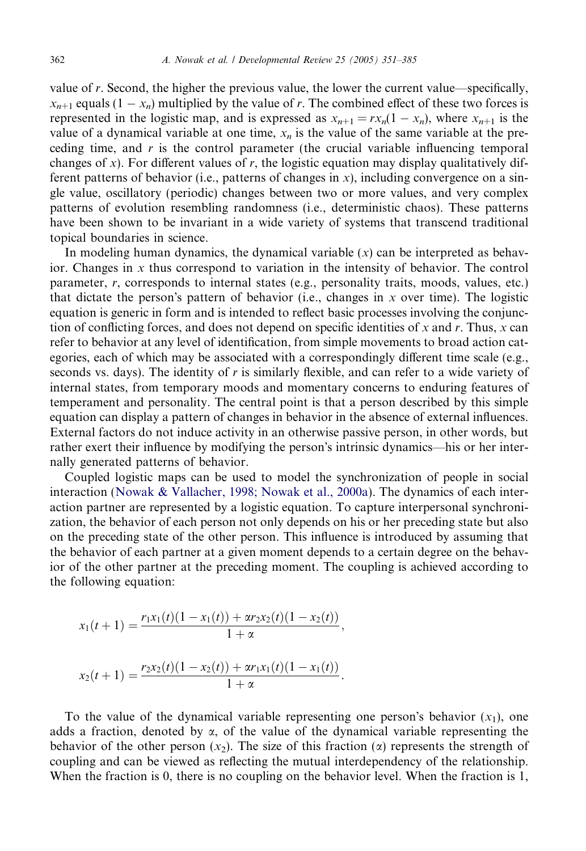value of r. Second, the higher the previous value, the lower the current value—specifically,  $x_{n+1}$  equals  $(1 - x_n)$  multiplied by the value of r. The combined effect of these two forces is represented in the logistic map, and is expressed as  $x_{n+1} = rx_n(1 - x_n)$ , where  $x_{n+1}$  is the value of a dynamical variable at one time,  $x_n$  is the value of the same variable at the preceding time, and  $r$  is the control parameter (the crucial variable influencing temporal changes of x). For different values of r, the logistic equation may display qualitatively different patterns of behavior (i.e., patterns of changes in x), including convergence on a single value, oscillatory (periodic) changes between two or more values, and very complex patterns of evolution resembling randomness (i.e., deterministic chaos). These patterns have been shown to be invariant in a wide variety of systems that transcend traditional topical boundaries in science.

In modeling human dynamics, the dynamical variable  $(x)$  can be interpreted as behavior. Changes in  $x$  thus correspond to variation in the intensity of behavior. The control parameter, r, corresponds to internal states (e.g., personality traits, moods, values, etc.) that dictate the person's pattern of behavior (i.e., changes in x over time). The logistic equation is generic in form and is intended to reflect basic processes involving the conjunction of conflicting forces, and does not depend on specific identities of x and r. Thus, x can refer to behavior at any level of identification, from simple movements to broad action categories, each of which may be associated with a correspondingly different time scale (e.g., seconds vs. days). The identity of r is similarly flexible, and can refer to a wide variety of internal states, from temporary moods and momentary concerns to enduring features of temperament and personality. The central point is that a person described by this simple equation can display a pattern of changes in behavior in the absence of external influences. External factors do not induce activity in an otherwise passive person, in other words, but rather exert their influence by modifying the person's intrinsic dynamics—his or her internally generated patterns of behavior.

Coupled logistic maps can be used to model the synchronization of people in social interaction [\(Nowak & Vallacher, 1998; Nowak et al., 2000a](#page-32-0)). The dynamics of each interaction partner are represented by a logistic equation. To capture interpersonal synchronization, the behavior of each person not only depends on his or her preceding state but also on the preceding state of the other person. This influence is introduced by assuming that the behavior of each partner at a given moment depends to a certain degree on the behavior of the other partner at the preceding moment. The coupling is achieved according to the following equation:

$$
x_1(t+1) = \frac{r_1x_1(t)(1-x_1(t)) + \alpha r_2x_2(t)(1-x_2(t))}{1+\alpha},
$$
  

$$
x_2(t+1) = \frac{r_2x_2(t)(1-x_2(t)) + \alpha r_1x_1(t)(1-x_1(t))}{1+\alpha}.
$$

To the value of the dynamical variable representing one person's behavior  $(x_1)$ , one adds a fraction, denoted by  $\alpha$ , of the value of the dynamical variable representing the behavior of the other person  $(x_2)$ . The size of this fraction  $(\alpha)$  represents the strength of coupling and can be viewed as reflecting the mutual interdependency of the relationship. When the fraction is 0, there is no coupling on the behavior level. When the fraction is 1,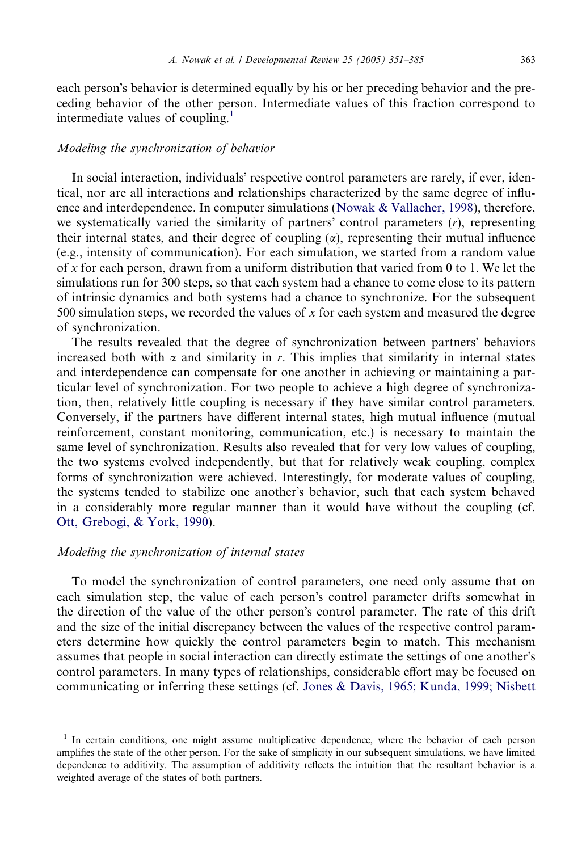each person's behavior is determined equally by his or her preceding behavior and the preceding behavior of the other person. Intermediate values of this fraction correspond to intermediate values of coupling. $<sup>1</sup>$ </sup>

# Modeling the synchronization of behavior

In social interaction, individuals' respective control parameters are rarely, if ever, identical, nor are all interactions and relationships characterized by the same degree of influence and interdependence. In computer simulations ([Nowak & Vallacher, 1998](#page-32-0)), therefore, we systematically varied the similarity of partners' control parameters  $(r)$ , representing their internal states, and their degree of coupling  $(x)$ , representing their mutual influence (e.g., intensity of communication). For each simulation, we started from a random value of x for each person, drawn from a uniform distribution that varied from 0 to 1. We let the simulations run for 300 steps, so that each system had a chance to come close to its pattern of intrinsic dynamics and both systems had a chance to synchronize. For the subsequent 500 simulation steps, we recorded the values of  $x$  for each system and measured the degree of synchronization.

The results revealed that the degree of synchronization between partners' behaviors increased both with  $\alpha$  and similarity in r. This implies that similarity in internal states and interdependence can compensate for one another in achieving or maintaining a particular level of synchronization. For two people to achieve a high degree of synchronization, then, relatively little coupling is necessary if they have similar control parameters. Conversely, if the partners have different internal states, high mutual influence (mutual reinforcement, constant monitoring, communication, etc.) is necessary to maintain the same level of synchronization. Results also revealed that for very low values of coupling, the two systems evolved independently, but that for relatively weak coupling, complex forms of synchronization were achieved. Interestingly, for moderate values of coupling, the systems tended to stabilize one another's behavior, such that each system behaved in a considerably more regular manner than it would have without the coupling (cf. [Ott, Grebogi, & York, 1990](#page-32-0)).

# Modeling the synchronization of internal states

To model the synchronization of control parameters, one need only assume that on each simulation step, the value of each person's control parameter drifts somewhat in the direction of the value of the other person's control parameter. The rate of this drift and the size of the initial discrepancy between the values of the respective control parameters determine how quickly the control parameters begin to match. This mechanism assumes that people in social interaction can directly estimate the settings of one another's control parameters. In many types of relationships, considerable effort may be focused on communicating or inferring these settings (cf. [Jones & Davis, 1965; Kunda, 1999; Nisbett](#page-31-0)

<sup>&</sup>lt;sup>1</sup> In certain conditions, one might assume multiplicative dependence, where the behavior of each person amplifies the state of the other person. For the sake of simplicity in our subsequent simulations, we have limited dependence to additivity. The assumption of additivity reflects the intuition that the resultant behavior is a weighted average of the states of both partners.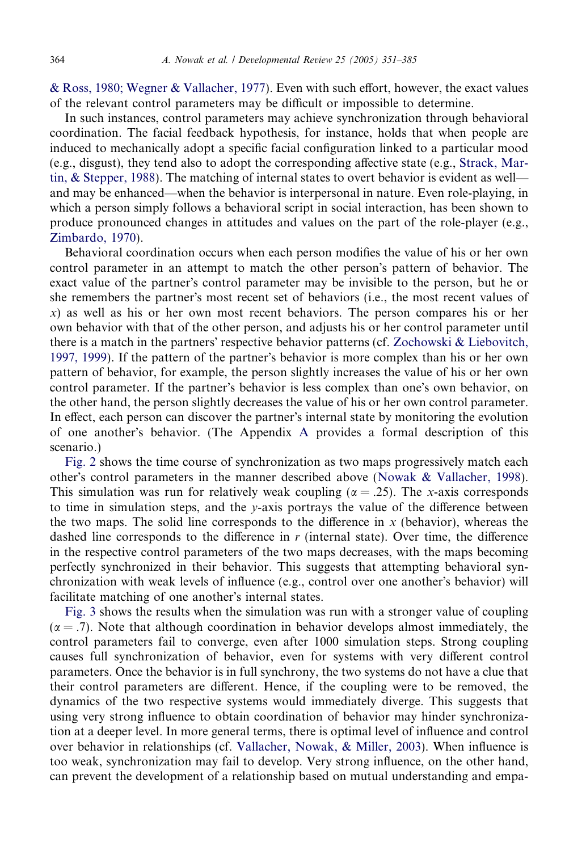[& Ross, 1980; Wegner & Vallacher, 1977](#page-31-0)). Even with such effort, however, the exact values of the relevant control parameters may be difficult or impossible to determine.

In such instances, control parameters may achieve synchronization through behavioral coordination. The facial feedback hypothesis, for instance, holds that when people are induced to mechanically adopt a specific facial configuration linked to a particular mood (e.g., disgust), they tend also to adopt the corresponding affective state (e.g., [Strack, Mar](#page-33-0)[tin, & Stepper, 1988](#page-33-0)). The matching of internal states to overt behavior is evident as well and may be enhanced—when the behavior is interpersonal in nature. Even role-playing, in which a person simply follows a behavioral script in social interaction, has been shown to produce pronounced changes in attitudes and values on the part of the role-player (e.g., [Zimbardo, 1970\)](#page-34-0).

Behavioral coordination occurs when each person modifies the value of his or her own control parameter in an attempt to match the other person's pattern of behavior. The exact value of the partner's control parameter may be invisible to the person, but he or she remembers the partner's most recent set of behaviors (i.e., the most recent values of  $x$ ) as well as his or her own most recent behaviors. The person compares his or her own behavior with that of the other person, and adjusts his or her control parameter until there is a match in the partners respective behavior patterns (cf. [Zochowski & Liebovitch,](#page-34-0) [1997, 1999](#page-34-0)). If the pattern of the partner's behavior is more complex than his or her own pattern of behavior, for example, the person slightly increases the value of his or her own control parameter. If the partner's behavior is less complex than one's own behavior, on the other hand, the person slightly decreases the value of his or her own control parameter. In effect, each person can discover the partner's internal state by monitoring the evolution of one another's behavior. (The Appendix A provides a formal description of this scenario.)

[Fig. 2](#page-14-0) shows the time course of synchronization as two maps progressively match each other's control parameters in the manner described above ([Nowak & Vallacher, 1998](#page-32-0)). This simulation was run for relatively weak coupling ( $\alpha = .25$ ). The x-axis corresponds to time in simulation steps, and the  $y$ -axis portrays the value of the difference between the two maps. The solid line corresponds to the difference in  $x$  (behavior), whereas the dashed line corresponds to the difference in  $r$  (internal state). Over time, the difference in the respective control parameters of the two maps decreases, with the maps becoming perfectly synchronized in their behavior. This suggests that attempting behavioral synchronization with weak levels of influence (e.g., control over one another's behavior) will facilitate matching of one another's internal states.

[Fig. 3](#page-14-0) shows the results when the simulation was run with a stronger value of coupling  $(\alpha = .7)$ . Note that although coordination in behavior develops almost immediately, the control parameters fail to converge, even after 1000 simulation steps. Strong coupling causes full synchronization of behavior, even for systems with very different control parameters. Once the behavior is in full synchrony, the two systems do not have a clue that their control parameters are different. Hence, if the coupling were to be removed, the dynamics of the two respective systems would immediately diverge. This suggests that using very strong influence to obtain coordination of behavior may hinder synchronization at a deeper level. In more general terms, there is optimal level of influence and control over behavior in relationships (cf. [Vallacher, Nowak, & Miller, 2003\)](#page-33-0). When influence is too weak, synchronization may fail to develop. Very strong influence, on the other hand, can prevent the development of a relationship based on mutual understanding and empa-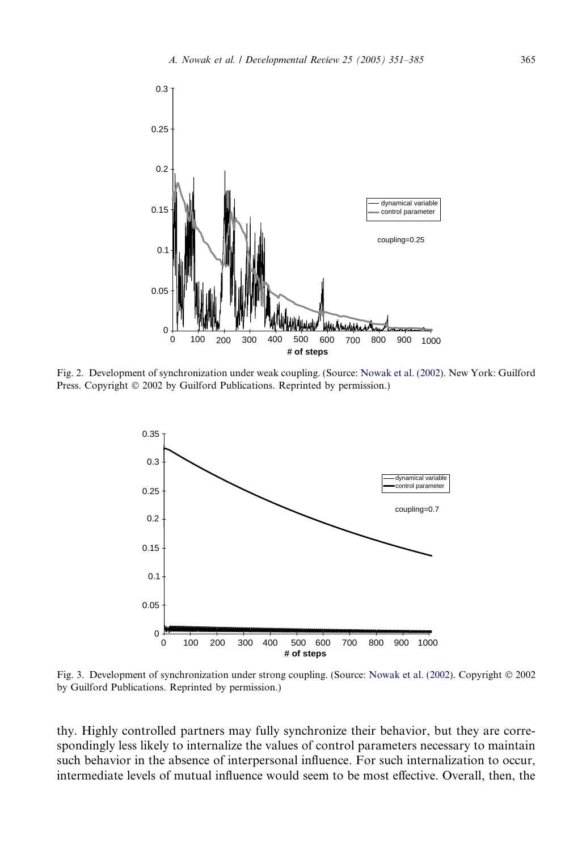<span id="page-14-0"></span>

Fig. 2. Development of synchronization under weak coupling. (Source: [Nowak et al. \(2002\)](#page-32-0). New York: Guilford Press. Copyright  $\odot$  2002 by Guilford Publications. Reprinted by permission.)



Fig. 3. Development of synchronization under strong coupling. (Source: [Nowak et al. \(2002\)](#page-32-0). Copyright  $\odot$  2002 by Guilford Publications. Reprinted by permission.)

thy. Highly controlled partners may fully synchronize their behavior, but they are correspondingly less likely to internalize the values of control parameters necessary to maintain such behavior in the absence of interpersonal influence. For such internalization to occur, intermediate levels of mutual influence would seem to be most effective. Overall, then, the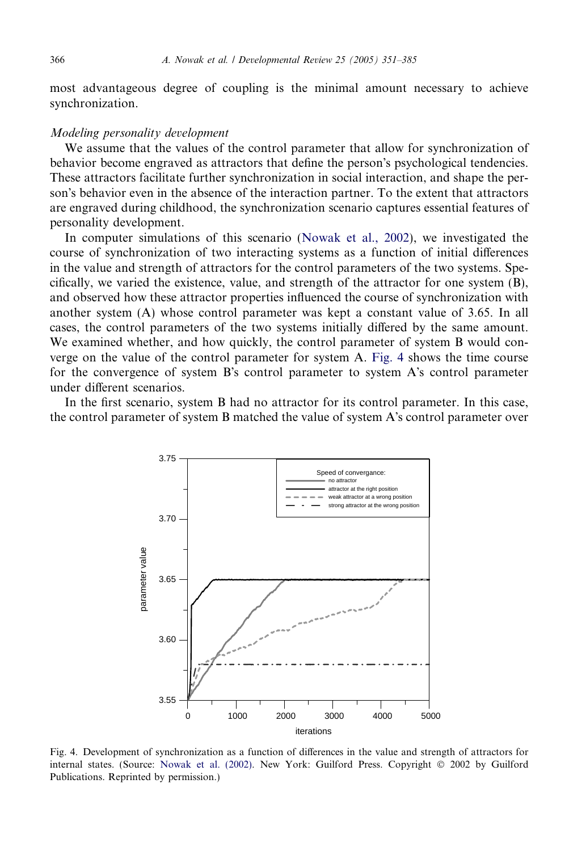most advantageous degree of coupling is the minimal amount necessary to achieve synchronization.

## Modeling personality development

We assume that the values of the control parameter that allow for synchronization of behavior become engraved as attractors that define the person's psychological tendencies. These attractors facilitate further synchronization in social interaction, and shape the person's behavior even in the absence of the interaction partner. To the extent that attractors are engraved during childhood, the synchronization scenario captures essential features of personality development.

In computer simulations of this scenario [\(Nowak et al., 2002](#page-32-0)), we investigated the course of synchronization of two interacting systems as a function of initial differences in the value and strength of attractors for the control parameters of the two systems. Specifically, we varied the existence, value, and strength of the attractor for one system (B), and observed how these attractor properties influenced the course of synchronization with another system (A) whose control parameter was kept a constant value of 3.65. In all cases, the control parameters of the two systems initially differed by the same amount. We examined whether, and how quickly, the control parameter of system B would converge on the value of the control parameter for system A. Fig. 4 shows the time course for the convergence of system B's control parameter to system A's control parameter under different scenarios.

In the first scenario, system B had no attractor for its control parameter. In this case, the control parameter of system B matched the value of system A's control parameter over



Fig. 4. Development of synchronization as a function of differences in the value and strength of attractors for internal states. (Source: [Nowak et al. \(2002\)](#page-32-0). New York: Guilford Press. Copyright  $© 2002$  by Guilford Publications. Reprinted by permission.)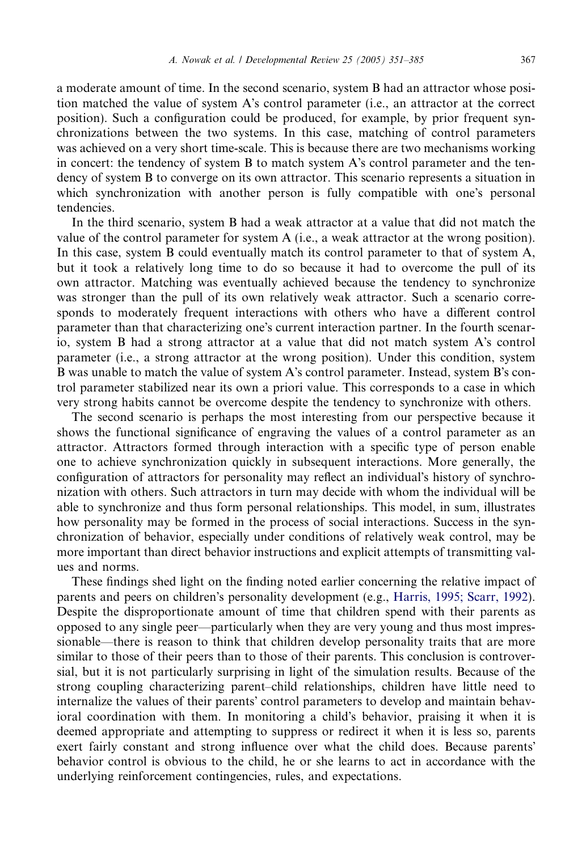a moderate amount of time. In the second scenario, system B had an attractor whose position matched the value of system A's control parameter (i.e., an attractor at the correct position). Such a configuration could be produced, for example, by prior frequent synchronizations between the two systems. In this case, matching of control parameters was achieved on a very short time-scale. This is because there are two mechanisms working in concert: the tendency of system  $B$  to match system  $A$ 's control parameter and the tendency of system B to converge on its own attractor. This scenario represents a situation in which synchronization with another person is fully compatible with one's personal tendencies.

In the third scenario, system B had a weak attractor at a value that did not match the value of the control parameter for system A (i.e., a weak attractor at the wrong position). In this case, system B could eventually match its control parameter to that of system A, but it took a relatively long time to do so because it had to overcome the pull of its own attractor. Matching was eventually achieved because the tendency to synchronize was stronger than the pull of its own relatively weak attractor. Such a scenario corresponds to moderately frequent interactions with others who have a different control parameter than that characterizing ones current interaction partner. In the fourth scenario, system B had a strong attractor at a value that did not match system A's control parameter (i.e., a strong attractor at the wrong position). Under this condition, system B was unable to match the value of system A's control parameter. Instead, system B's control parameter stabilized near its own a priori value. This corresponds to a case in which very strong habits cannot be overcome despite the tendency to synchronize with others.

The second scenario is perhaps the most interesting from our perspective because it shows the functional significance of engraving the values of a control parameter as an attractor. Attractors formed through interaction with a specific type of person enable one to achieve synchronization quickly in subsequent interactions. More generally, the configuration of attractors for personality may reflect an individual's history of synchronization with others. Such attractors in turn may decide with whom the individual will be able to synchronize and thus form personal relationships. This model, in sum, illustrates how personality may be formed in the process of social interactions. Success in the synchronization of behavior, especially under conditions of relatively weak control, may be more important than direct behavior instructions and explicit attempts of transmitting values and norms.

These findings shed light on the finding noted earlier concerning the relative impact of parents and peers on children's personality development (e.g., [Harris, 1995; Scarr, 1992\)](#page-31-0). Despite the disproportionate amount of time that children spend with their parents as opposed to any single peer—particularly when they are very young and thus most impressionable—there is reason to think that children develop personality traits that are more similar to those of their peers than to those of their parents. This conclusion is controversial, but it is not particularly surprising in light of the simulation results. Because of the strong coupling characterizing parent–child relationships, children have little need to internalize the values of their parents' control parameters to develop and maintain behavioral coordination with them. In monitoring a child's behavior, praising it when it is deemed appropriate and attempting to suppress or redirect it when it is less so, parents exert fairly constant and strong influence over what the child does. Because parents behavior control is obvious to the child, he or she learns to act in accordance with the underlying reinforcement contingencies, rules, and expectations.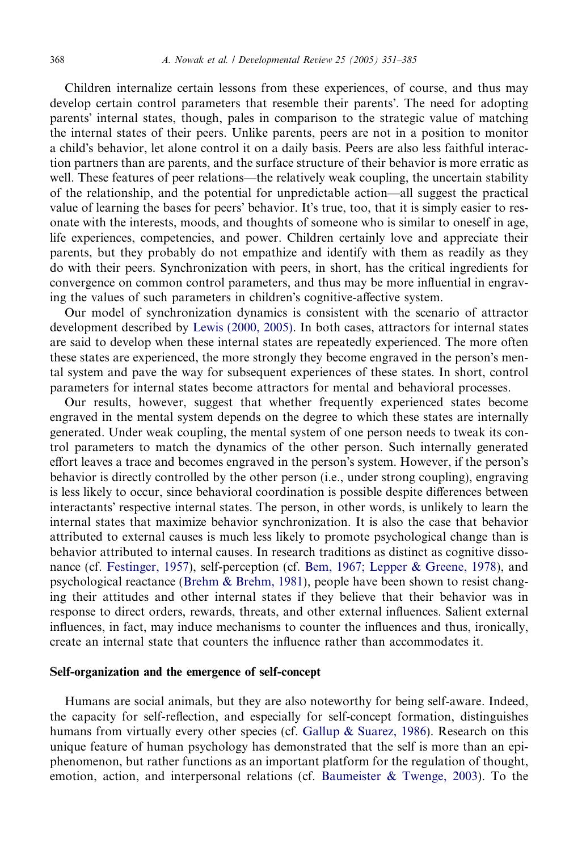Children internalize certain lessons from these experiences, of course, and thus may develop certain control parameters that resemble their parents. The need for adopting parents' internal states, though, pales in comparison to the strategic value of matching the internal states of their peers. Unlike parents, peers are not in a position to monitor a child's behavior, let alone control it on a daily basis. Peers are also less faithful interaction partners than are parents, and the surface structure of their behavior is more erratic as well. These features of peer relations—the relatively weak coupling, the uncertain stability of the relationship, and the potential for unpredictable action—all suggest the practical value of learning the bases for peers' behavior. It's true, too, that it is simply easier to resonate with the interests, moods, and thoughts of someone who is similar to oneself in age, life experiences, competencies, and power. Children certainly love and appreciate their parents, but they probably do not empathize and identify with them as readily as they do with their peers. Synchronization with peers, in short, has the critical ingredients for convergence on common control parameters, and thus may be more influential in engraving the values of such parameters in children's cognitive-affective system.

Our model of synchronization dynamics is consistent with the scenario of attractor development described by [Lewis \(2000, 2005\)](#page-32-0). In both cases, attractors for internal states are said to develop when these internal states are repeatedly experienced. The more often these states are experienced, the more strongly they become engraved in the person's mental system and pave the way for subsequent experiences of these states. In short, control parameters for internal states become attractors for mental and behavioral processes.

Our results, however, suggest that whether frequently experienced states become engraved in the mental system depends on the degree to which these states are internally generated. Under weak coupling, the mental system of one person needs to tweak its control parameters to match the dynamics of the other person. Such internally generated effort leaves a trace and becomes engraved in the person's system. However, if the person's behavior is directly controlled by the other person (i.e., under strong coupling), engraving is less likely to occur, since behavioral coordination is possible despite differences between interactants' respective internal states. The person, in other words, is unlikely to learn the internal states that maximize behavior synchronization. It is also the case that behavior attributed to external causes is much less likely to promote psychological change than is behavior attributed to internal causes. In research traditions as distinct as cognitive dissonance (cf. [Festinger, 1957\)](#page-31-0), self-perception (cf. [Bem, 1967; Lepper & Greene, 1978\)](#page-30-0), and psychological reactance [\(Brehm & Brehm, 1981](#page-30-0)), people have been shown to resist changing their attitudes and other internal states if they believe that their behavior was in response to direct orders, rewards, threats, and other external influences. Salient external influences, in fact, may induce mechanisms to counter the influences and thus, ironically, create an internal state that counters the influence rather than accommodates it.

#### Self-organization and the emergence of self-concept

Humans are social animals, but they are also noteworthy for being self-aware. Indeed, the capacity for self-reflection, and especially for self-concept formation, distinguishes humans from virtually every other species (cf. [Gallup & Suarez, 1986\)](#page-31-0). Research on this unique feature of human psychology has demonstrated that the self is more than an epiphenomenon, but rather functions as an important platform for the regulation of thought, emotion, action, and interpersonal relations (cf. [Baumeister & Twenge, 2003\)](#page-30-0). To the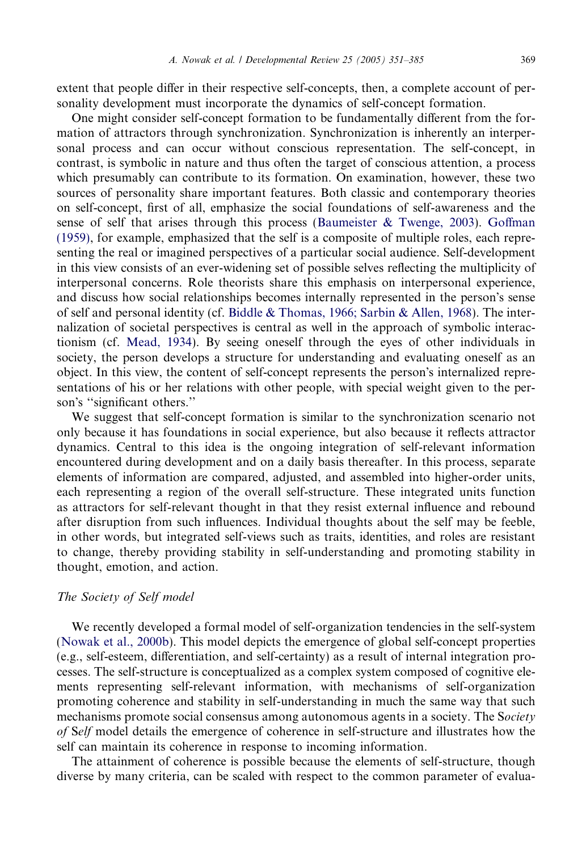extent that people differ in their respective self-concepts, then, a complete account of personality development must incorporate the dynamics of self-concept formation.

One might consider self-concept formation to be fundamentally different from the formation of attractors through synchronization. Synchronization is inherently an interpersonal process and can occur without conscious representation. The self-concept, in contrast, is symbolic in nature and thus often the target of conscious attention, a process which presumably can contribute to its formation. On examination, however, these two sources of personality share important features. Both classic and contemporary theories on self-concept, first of all, emphasize the social foundations of self-awareness and the sense of self that arises through this process (Baumeister  $\&$  Twenge, 2003). [Goffman](#page-31-0) [\(1959\)](#page-31-0), for example, emphasized that the self is a composite of multiple roles, each representing the real or imagined perspectives of a particular social audience. Self-development in this view consists of an ever-widening set of possible selves reflecting the multiplicity of interpersonal concerns. Role theorists share this emphasis on interpersonal experience, and discuss how social relationships becomes internally represented in the person's sense of self and personal identity (cf. [Biddle & Thomas, 1966; Sarbin & Allen, 1968](#page-30-0)). The internalization of societal perspectives is central as well in the approach of symbolic interactionism (cf. [Mead, 1934](#page-32-0)). By seeing oneself through the eyes of other individuals in society, the person develops a structure for understanding and evaluating oneself as an object. In this view, the content of self-concept represents the person's internalized representations of his or her relations with other people, with special weight given to the person's "significant others."

We suggest that self-concept formation is similar to the synchronization scenario not only because it has foundations in social experience, but also because it reflects attractor dynamics. Central to this idea is the ongoing integration of self-relevant information encountered during development and on a daily basis thereafter. In this process, separate elements of information are compared, adjusted, and assembled into higher-order units, each representing a region of the overall self-structure. These integrated units function as attractors for self-relevant thought in that they resist external influence and rebound after disruption from such influences. Individual thoughts about the self may be feeble, in other words, but integrated self-views such as traits, identities, and roles are resistant to change, thereby providing stability in self-understanding and promoting stability in thought, emotion, and action.

# The Society of Self model

We recently developed a formal model of self-organization tendencies in the self-system ([Nowak et al., 2000b](#page-32-0)). This model depicts the emergence of global self-concept properties (e.g., self-esteem, differentiation, and self-certainty) as a result of internal integration processes. The self-structure is conceptualized as a complex system composed of cognitive elements representing self-relevant information, with mechanisms of self-organization promoting coherence and stability in self-understanding in much the same way that such mechanisms promote social consensus among autonomous agents in a society. The Society of Self model details the emergence of coherence in self-structure and illustrates how the self can maintain its coherence in response to incoming information.

The attainment of coherence is possible because the elements of self-structure, though diverse by many criteria, can be scaled with respect to the common parameter of evalua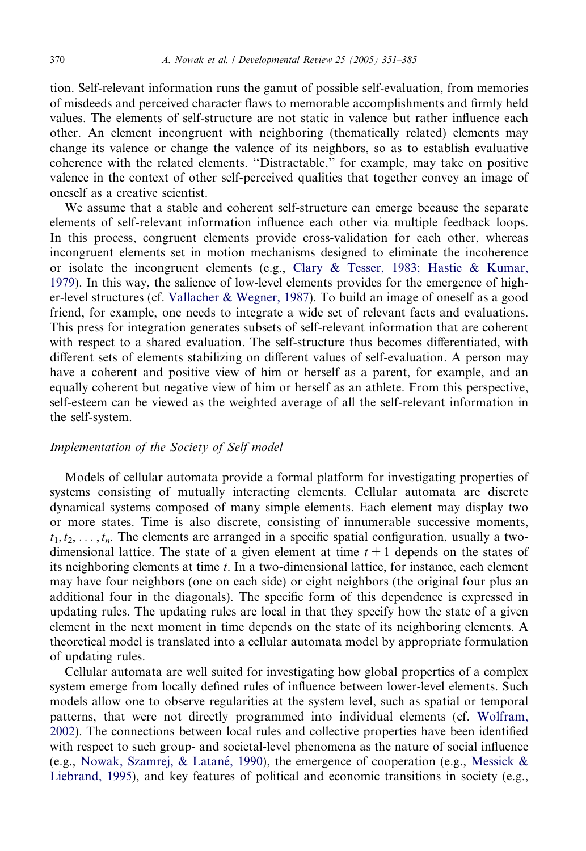tion. Self-relevant information runs the gamut of possible self-evaluation, from memories of misdeeds and perceived character flaws to memorable accomplishments and firmly held values. The elements of self-structure are not static in valence but rather influence each other. An element incongruent with neighboring (thematically related) elements may change its valence or change the valence of its neighbors, so as to establish evaluative coherence with the related elements. ''Distractable,'' for example, may take on positive valence in the context of other self-perceived qualities that together convey an image of oneself as a creative scientist.

We assume that a stable and coherent self-structure can emerge because the separate elements of self-relevant information influence each other via multiple feedback loops. In this process, congruent elements provide cross-validation for each other, whereas incongruent elements set in motion mechanisms designed to eliminate the incoherence or isolate the incongruent elements (e.g., [Clary & Tesser, 1983; Hastie & Kumar,](#page-31-0) [1979\)](#page-31-0). In this way, the salience of low-level elements provides for the emergence of higher-level structures (cf. [Vallacher & Wegner, 1987](#page-33-0)). To build an image of oneself as a good friend, for example, one needs to integrate a wide set of relevant facts and evaluations. This press for integration generates subsets of self-relevant information that are coherent with respect to a shared evaluation. The self-structure thus becomes differentiated, with different sets of elements stabilizing on different values of self-evaluation. A person may have a coherent and positive view of him or herself as a parent, for example, and an equally coherent but negative view of him or herself as an athlete. From this perspective, self-esteem can be viewed as the weighted average of all the self-relevant information in the self-system.

# Implementation of the Society of Self model

Models of cellular automata provide a formal platform for investigating properties of systems consisting of mutually interacting elements. Cellular automata are discrete dynamical systems composed of many simple elements. Each element may display two or more states. Time is also discrete, consisting of innumerable successive moments,  $t_1, t_2, \ldots, t_n$ . The elements are arranged in a specific spatial configuration, usually a twodimensional lattice. The state of a given element at time  $t + 1$  depends on the states of its neighboring elements at time  $t$ . In a two-dimensional lattice, for instance, each element may have four neighbors (one on each side) or eight neighbors (the original four plus an additional four in the diagonals). The specific form of this dependence is expressed in updating rules. The updating rules are local in that they specify how the state of a given element in the next moment in time depends on the state of its neighboring elements. A theoretical model is translated into a cellular automata model by appropriate formulation of updating rules.

Cellular automata are well suited for investigating how global properties of a complex system emerge from locally defined rules of influence between lower-level elements. Such models allow one to observe regularities at the system level, such as spatial or temporal patterns, that were not directly programmed into individual elements (cf. [Wolfram,](#page-34-0) [2002\)](#page-34-0). The connections between local rules and collective properties have been identified with respect to such group- and societal-level phenomena as the nature of social influence (e.g., Nowak, Szamrej, & Latané, 1990), the emergence of cooperation (e.g., Messick  $\&$ [Liebrand, 1995](#page-32-0)), and key features of political and economic transitions in society (e.g.,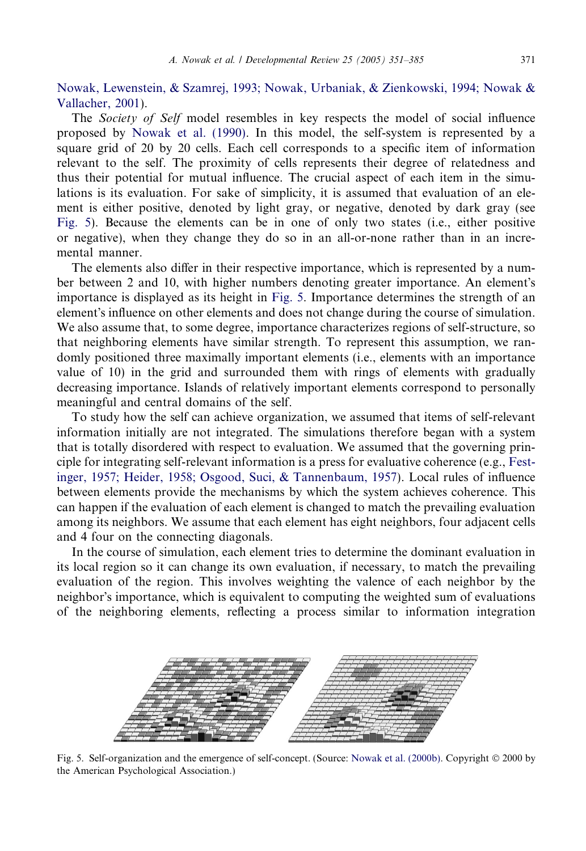<span id="page-20-0"></span>[Nowak, Lewenstein, & Szamrej, 1993; Nowak, Urbaniak, & Zienkowski, 1994; Nowak &](#page-32-0) [Vallacher, 2001](#page-32-0)).

The Society of Self model resembles in key respects the model of social influence proposed by [Nowak et al. \(1990\)](#page-32-0). In this model, the self-system is represented by a square grid of 20 by 20 cells. Each cell corresponds to a specific item of information relevant to the self. The proximity of cells represents their degree of relatedness and thus their potential for mutual influence. The crucial aspect of each item in the simulations is its evaluation. For sake of simplicity, it is assumed that evaluation of an element is either positive, denoted by light gray, or negative, denoted by dark gray (see Fig. 5). Because the elements can be in one of only two states (i.e., either positive or negative), when they change they do so in an all-or-none rather than in an incremental manner.

The elements also differ in their respective importance, which is represented by a number between 2 and 10, with higher numbers denoting greater importance. An element's importance is displayed as its height in Fig. 5. Importance determines the strength of an element's influence on other elements and does not change during the course of simulation. We also assume that, to some degree, importance characterizes regions of self-structure, so that neighboring elements have similar strength. To represent this assumption, we randomly positioned three maximally important elements (i.e., elements with an importance value of 10) in the grid and surrounded them with rings of elements with gradually decreasing importance. Islands of relatively important elements correspond to personally meaningful and central domains of the self.

To study how the self can achieve organization, we assumed that items of self-relevant information initially are not integrated. The simulations therefore began with a system that is totally disordered with respect to evaluation. We assumed that the governing principle for integrating self-relevant information is a press for evaluative coherence (e.g., [Fest](#page-31-0)[inger, 1957; Heider, 1958; Osgood, Suci, & Tannenbaum, 1957](#page-31-0)). Local rules of influence between elements provide the mechanisms by which the system achieves coherence. This can happen if the evaluation of each element is changed to match the prevailing evaluation among its neighbors. We assume that each element has eight neighbors, four adjacent cells and 4 four on the connecting diagonals.

In the course of simulation, each element tries to determine the dominant evaluation in its local region so it can change its own evaluation, if necessary, to match the prevailing evaluation of the region. This involves weighting the valence of each neighbor by the neighbor's importance, which is equivalent to computing the weighted sum of evaluations of the neighboring elements, reflecting a process similar to information integration



Fig. 5. Self-organization and the emergence of self-concept. (Source: [Nowak et al. \(2000b\).](#page-32-0) Copyright  $© 2000$  by the American Psychological Association.)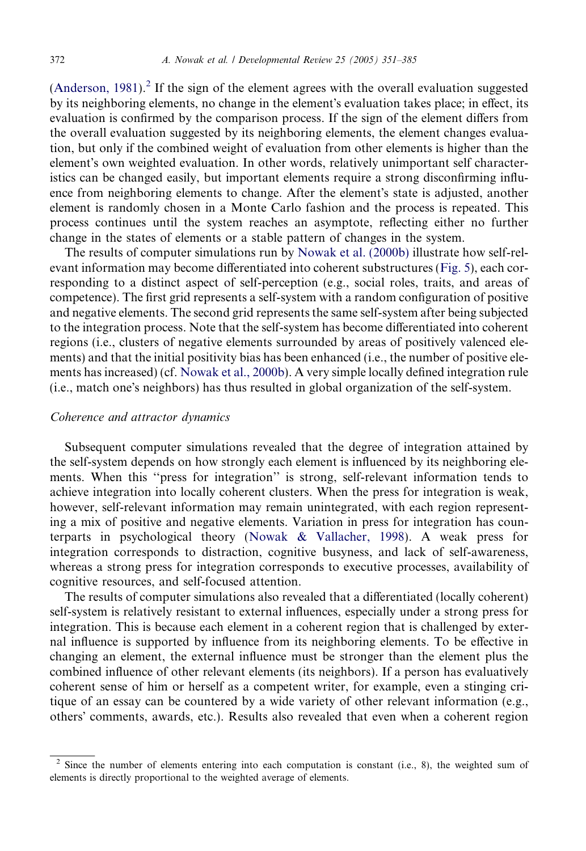(Anderson,  $1981$ ).<sup>2</sup> If the sign of the element agrees with the overall evaluation suggested by its neighboring elements, no change in the element's evaluation takes place; in effect, its evaluation is confirmed by the comparison process. If the sign of the element differs from the overall evaluation suggested by its neighboring elements, the element changes evaluation, but only if the combined weight of evaluation from other elements is higher than the element's own weighted evaluation. In other words, relatively unimportant self characteristics can be changed easily, but important elements require a strong disconfirming influence from neighboring elements to change. After the element's state is adjusted, another element is randomly chosen in a Monte Carlo fashion and the process is repeated. This process continues until the system reaches an asymptote, reflecting either no further change in the states of elements or a stable pattern of changes in the system.

The results of computer simulations run by [Nowak et al. \(2000b\)](#page-32-0) illustrate how self-relevant information may become differentiated into coherent substructures ([Fig. 5\)](#page-20-0), each corresponding to a distinct aspect of self-perception (e.g., social roles, traits, and areas of competence). The first grid represents a self-system with a random configuration of positive and negative elements. The second grid represents the same self-system after being subjected to the integration process. Note that the self-system has become differentiated into coherent regions (i.e., clusters of negative elements surrounded by areas of positively valenced elements) and that the initial positivity bias has been enhanced (i.e., the number of positive elements has increased) (cf. [Nowak et al., 2000b](#page-32-0)). A very simple locally defined integration rule  $(i.e., match one's neighbors)$  has thus resulted in global organization of the self-system.

## Coherence and attractor dynamics

Subsequent computer simulations revealed that the degree of integration attained by the self-system depends on how strongly each element is influenced by its neighboring elements. When this ''press for integration'' is strong, self-relevant information tends to achieve integration into locally coherent clusters. When the press for integration is weak, however, self-relevant information may remain unintegrated, with each region representing a mix of positive and negative elements. Variation in press for integration has counterparts in psychological theory ([Nowak & Vallacher, 1998](#page-32-0)). A weak press for integration corresponds to distraction, cognitive busyness, and lack of self-awareness, whereas a strong press for integration corresponds to executive processes, availability of cognitive resources, and self-focused attention.

The results of computer simulations also revealed that a differentiated (locally coherent) self-system is relatively resistant to external influences, especially under a strong press for integration. This is because each element in a coherent region that is challenged by external influence is supported by influence from its neighboring elements. To be effective in changing an element, the external influence must be stronger than the element plus the combined influence of other relevant elements (its neighbors). If a person has evaluatively coherent sense of him or herself as a competent writer, for example, even a stinging critique of an essay can be countered by a wide variety of other relevant information (e.g., others' comments, awards, etc.). Results also revealed that even when a coherent region

<sup>&</sup>lt;sup>2</sup> Since the number of elements entering into each computation is constant (i.e., 8), the weighted sum of elements is directly proportional to the weighted average of elements.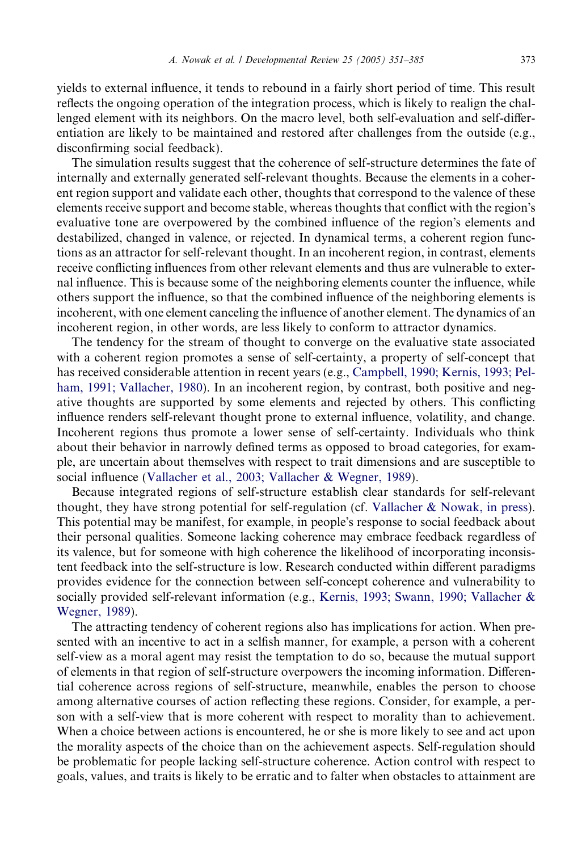yields to external influence, it tends to rebound in a fairly short period of time. This result reflects the ongoing operation of the integration process, which is likely to realign the challenged element with its neighbors. On the macro level, both self-evaluation and self-differentiation are likely to be maintained and restored after challenges from the outside (e.g., disconfirming social feedback).

The simulation results suggest that the coherence of self-structure determines the fate of internally and externally generated self-relevant thoughts. Because the elements in a coherent region support and validate each other, thoughts that correspond to the valence of these elements receive support and become stable, whereas thoughts that conflict with the region's evaluative tone are overpowered by the combined influence of the region's elements and destabilized, changed in valence, or rejected. In dynamical terms, a coherent region functions as an attractor for self-relevant thought. In an incoherent region, in contrast, elements receive conflicting influences from other relevant elements and thus are vulnerable to external influence. This is because some of the neighboring elements counter the influence, while others support the influence, so that the combined influence of the neighboring elements is incoherent, with one element canceling the influence of another element. The dynamics of an incoherent region, in other words, are less likely to conform to attractor dynamics.

The tendency for the stream of thought to converge on the evaluative state associated with a coherent region promotes a sense of self-certainty, a property of self-concept that has received considerable attention in recent years (e.g., [Campbell, 1990; Kernis, 1993; Pel](#page-30-0)[ham, 1991; Vallacher, 1980\)](#page-30-0). In an incoherent region, by contrast, both positive and negative thoughts are supported by some elements and rejected by others. This conflicting influence renders self-relevant thought prone to external influence, volatility, and change. Incoherent regions thus promote a lower sense of self-certainty. Individuals who think about their behavior in narrowly defined terms as opposed to broad categories, for example, are uncertain about themselves with respect to trait dimensions and are susceptible to social influence [\(Vallacher et al., 2003; Vallacher & Wegner, 1989\)](#page-33-0).

Because integrated regions of self-structure establish clear standards for self-relevant thought, they have strong potential for self-regulation (cf. [Vallacher & Nowak, in press\)](#page-33-0). This potential may be manifest, for example, in people's response to social feedback about their personal qualities. Someone lacking coherence may embrace feedback regardless of its valence, but for someone with high coherence the likelihood of incorporating inconsistent feedback into the self-structure is low. Research conducted within different paradigms provides evidence for the connection between self-concept coherence and vulnerability to socially provided self-relevant information (e.g., [Kernis, 1993; Swann, 1990; Vallacher &](#page-31-0) [Wegner, 1989](#page-31-0)).

The attracting tendency of coherent regions also has implications for action. When presented with an incentive to act in a selfish manner, for example, a person with a coherent self-view as a moral agent may resist the temptation to do so, because the mutual support of elements in that region of self-structure overpowers the incoming information. Differential coherence across regions of self-structure, meanwhile, enables the person to choose among alternative courses of action reflecting these regions. Consider, for example, a person with a self-view that is more coherent with respect to morality than to achievement. When a choice between actions is encountered, he or she is more likely to see and act upon the morality aspects of the choice than on the achievement aspects. Self-regulation should be problematic for people lacking self-structure coherence. Action control with respect to goals, values, and traits is likely to be erratic and to falter when obstacles to attainment are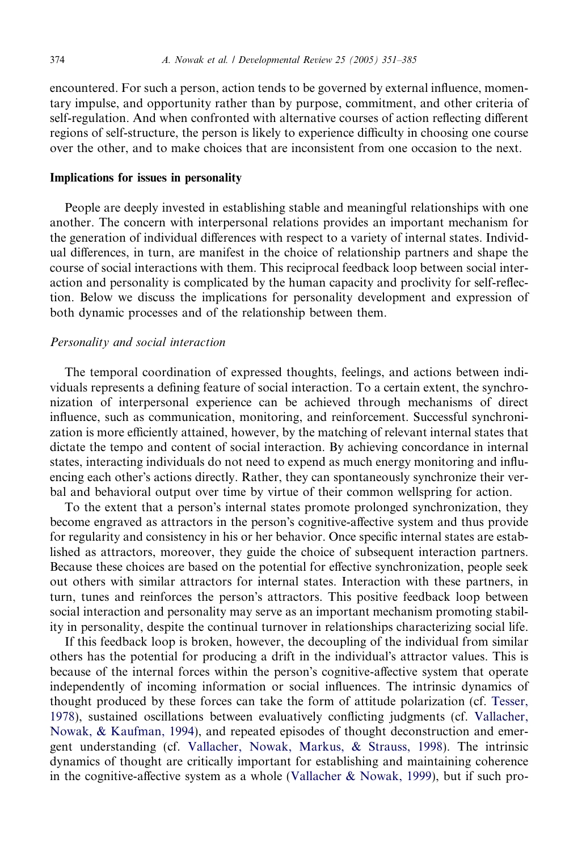encountered. For such a person, action tends to be governed by external influence, momentary impulse, and opportunity rather than by purpose, commitment, and other criteria of self-regulation. And when confronted with alternative courses of action reflecting different regions of self-structure, the person is likely to experience difficulty in choosing one course over the other, and to make choices that are inconsistent from one occasion to the next.

# Implications for issues in personality

People are deeply invested in establishing stable and meaningful relationships with one another. The concern with interpersonal relations provides an important mechanism for the generation of individual differences with respect to a variety of internal states. Individual differences, in turn, are manifest in the choice of relationship partners and shape the course of social interactions with them. This reciprocal feedback loop between social interaction and personality is complicated by the human capacity and proclivity for self-reflection. Below we discuss the implications for personality development and expression of both dynamic processes and of the relationship between them.

# Personality and social interaction

The temporal coordination of expressed thoughts, feelings, and actions between individuals represents a defining feature of social interaction. To a certain extent, the synchronization of interpersonal experience can be achieved through mechanisms of direct influence, such as communication, monitoring, and reinforcement. Successful synchronization is more efficiently attained, however, by the matching of relevant internal states that dictate the tempo and content of social interaction. By achieving concordance in internal states, interacting individuals do not need to expend as much energy monitoring and influencing each other's actions directly. Rather, they can spontaneously synchronize their verbal and behavioral output over time by virtue of their common wellspring for action.

To the extent that a person's internal states promote prolonged synchronization, they become engraved as attractors in the person's cognitive-affective system and thus provide for regularity and consistency in his or her behavior. Once specific internal states are established as attractors, moreover, they guide the choice of subsequent interaction partners. Because these choices are based on the potential for effective synchronization, people seek out others with similar attractors for internal states. Interaction with these partners, in turn, tunes and reinforces the person's attractors. This positive feedback loop between social interaction and personality may serve as an important mechanism promoting stability in personality, despite the continual turnover in relationships characterizing social life.

If this feedback loop is broken, however, the decoupling of the individual from similar others has the potential for producing a drift in the individual's attractor values. This is because of the internal forces within the person's cognitive-affective system that operate independently of incoming information or social influences. The intrinsic dynamics of thought produced by these forces can take the form of attitude polarization (cf. [Tesser,](#page-33-0) [1978\)](#page-33-0), sustained oscillations between evaluatively conflicting judgments (cf. [Vallacher,](#page-33-0) [Nowak, & Kaufman, 1994](#page-33-0)), and repeated episodes of thought deconstruction and emergent understanding (cf. [Vallacher, Nowak, Markus, & Strauss, 1998\)](#page-33-0). The intrinsic dynamics of thought are critically important for establishing and maintaining coherence in the cognitive-affective system as a whole (Vallacher  $\&$  Nowak, 1999), but if such pro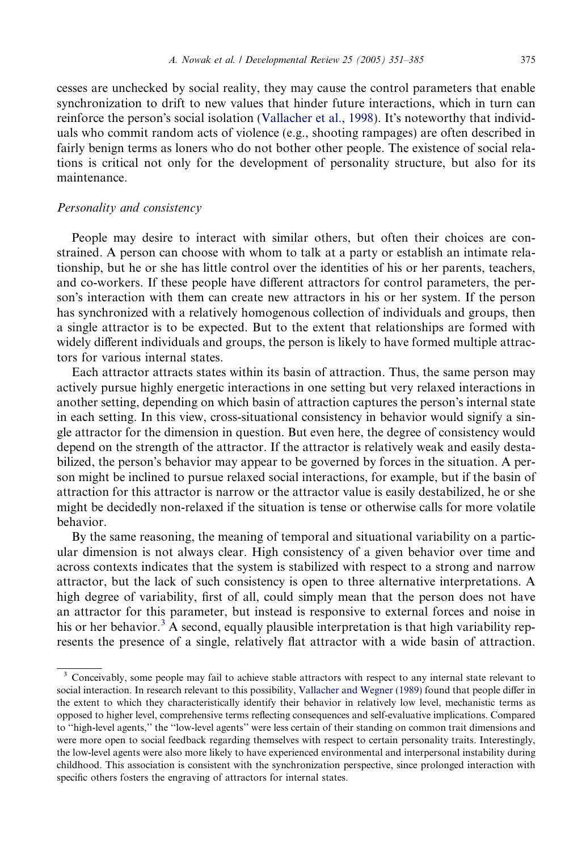cesses are unchecked by social reality, they may cause the control parameters that enable synchronization to drift to new values that hinder future interactions, which in turn can reinforce the person's social isolation ([Vallacher et al., 1998\)](#page-33-0). It's noteworthy that individuals who commit random acts of violence (e.g., shooting rampages) are often described in fairly benign terms as loners who do not bother other people. The existence of social relations is critical not only for the development of personality structure, but also for its maintenance.

# Personality and consistency

People may desire to interact with similar others, but often their choices are constrained. A person can choose with whom to talk at a party or establish an intimate relationship, but he or she has little control over the identities of his or her parents, teachers, and co-workers. If these people have different attractors for control parameters, the person's interaction with them can create new attractors in his or her system. If the person has synchronized with a relatively homogenous collection of individuals and groups, then a single attractor is to be expected. But to the extent that relationships are formed with widely different individuals and groups, the person is likely to have formed multiple attractors for various internal states.

Each attractor attracts states within its basin of attraction. Thus, the same person may actively pursue highly energetic interactions in one setting but very relaxed interactions in another setting, depending on which basin of attraction captures the person's internal state in each setting. In this view, cross-situational consistency in behavior would signify a single attractor for the dimension in question. But even here, the degree of consistency would depend on the strength of the attractor. If the attractor is relatively weak and easily destabilized, the person's behavior may appear to be governed by forces in the situation. A person might be inclined to pursue relaxed social interactions, for example, but if the basin of attraction for this attractor is narrow or the attractor value is easily destabilized, he or she might be decidedly non-relaxed if the situation is tense or otherwise calls for more volatile behavior.

By the same reasoning, the meaning of temporal and situational variability on a particular dimension is not always clear. High consistency of a given behavior over time and across contexts indicates that the system is stabilized with respect to a strong and narrow attractor, but the lack of such consistency is open to three alternative interpretations. A high degree of variability, first of all, could simply mean that the person does not have an attractor for this parameter, but instead is responsive to external forces and noise in his or her behavior.<sup>3</sup> A second, equally plausible interpretation is that high variability represents the presence of a single, relatively flat attractor with a wide basin of attraction.

<sup>3</sup> Conceivably, some people may fail to achieve stable attractors with respect to any internal state relevant to social interaction. In research relevant to this possibility, [Vallacher and Wegner \(1989\)](#page-34-0) found that people differ in the extent to which they characteristically identify their behavior in relatively low level, mechanistic terms as opposed to higher level, comprehensive terms reflecting consequences and self-evaluative implications. Compared to ''high-level agents,'' the ''low-level agents'' were less certain of their standing on common trait dimensions and were more open to social feedback regarding themselves with respect to certain personality traits. Interestingly, the low-level agents were also more likely to have experienced environmental and interpersonal instability during childhood. This association is consistent with the synchronization perspective, since prolonged interaction with specific others fosters the engraving of attractors for internal states.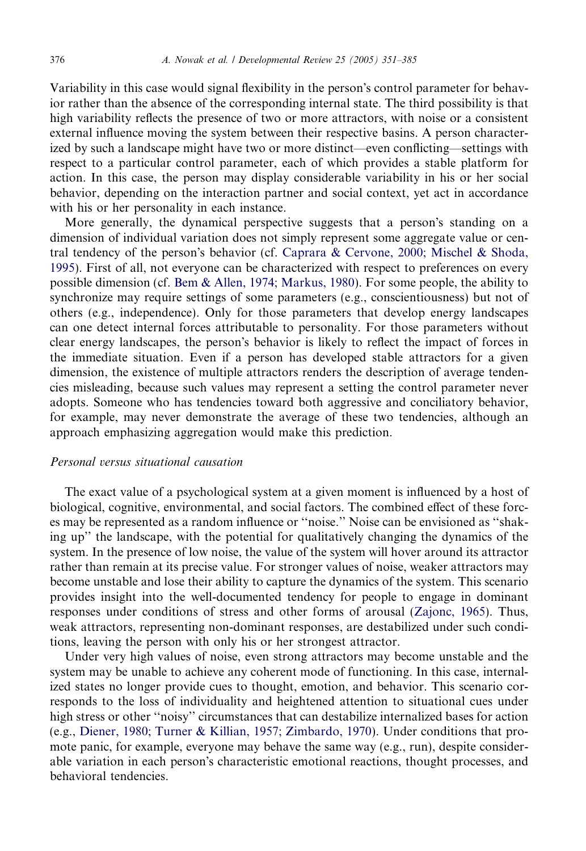Variability in this case would signal flexibility in the person's control parameter for behavior rather than the absence of the corresponding internal state. The third possibility is that high variability reflects the presence of two or more attractors, with noise or a consistent external influence moving the system between their respective basins. A person characterized by such a landscape might have two or more distinct—even conflicting—settings with respect to a particular control parameter, each of which provides a stable platform for action. In this case, the person may display considerable variability in his or her social behavior, depending on the interaction partner and social context, yet act in accordance with his or her personality in each instance.

More generally, the dynamical perspective suggests that a person's standing on a dimension of individual variation does not simply represent some aggregate value or cen-tral tendency of the person's behavior (cf. [Caprara & Cervone, 2000; Mischel & Shoda,](#page-30-0) [1995\)](#page-30-0). First of all, not everyone can be characterized with respect to preferences on every possible dimension (cf. [Bem & Allen, 1974; Markus, 1980](#page-30-0)). For some people, the ability to synchronize may require settings of some parameters (e.g., conscientiousness) but not of others (e.g., independence). Only for those parameters that develop energy landscapes can one detect internal forces attributable to personality. For those parameters without clear energy landscapes, the person's behavior is likely to reflect the impact of forces in the immediate situation. Even if a person has developed stable attractors for a given dimension, the existence of multiple attractors renders the description of average tendencies misleading, because such values may represent a setting the control parameter never adopts. Someone who has tendencies toward both aggressive and conciliatory behavior, for example, may never demonstrate the average of these two tendencies, although an approach emphasizing aggregation would make this prediction.

# Personal versus situational causation

The exact value of a psychological system at a given moment is influenced by a host of biological, cognitive, environmental, and social factors. The combined effect of these forces may be represented as a random influence or ''noise.'' Noise can be envisioned as ''shaking up'' the landscape, with the potential for qualitatively changing the dynamics of the system. In the presence of low noise, the value of the system will hover around its attractor rather than remain at its precise value. For stronger values of noise, weaker attractors may become unstable and lose their ability to capture the dynamics of the system. This scenario provides insight into the well-documented tendency for people to engage in dominant responses under conditions of stress and other forms of arousal [\(Zajonc, 1965\)](#page-34-0). Thus, weak attractors, representing non-dominant responses, are destabilized under such conditions, leaving the person with only his or her strongest attractor.

Under very high values of noise, even strong attractors may become unstable and the system may be unable to achieve any coherent mode of functioning. In this case, internalized states no longer provide cues to thought, emotion, and behavior. This scenario corresponds to the loss of individuality and heightened attention to situational cues under high stress or other ''noisy'' circumstances that can destabilize internalized bases for action (e.g., [Diener, 1980; Turner & Killian, 1957; Zimbardo, 1970\)](#page-31-0). Under conditions that promote panic, for example, everyone may behave the same way (e.g., run), despite considerable variation in each person's characteristic emotional reactions, thought processes, and behavioral tendencies.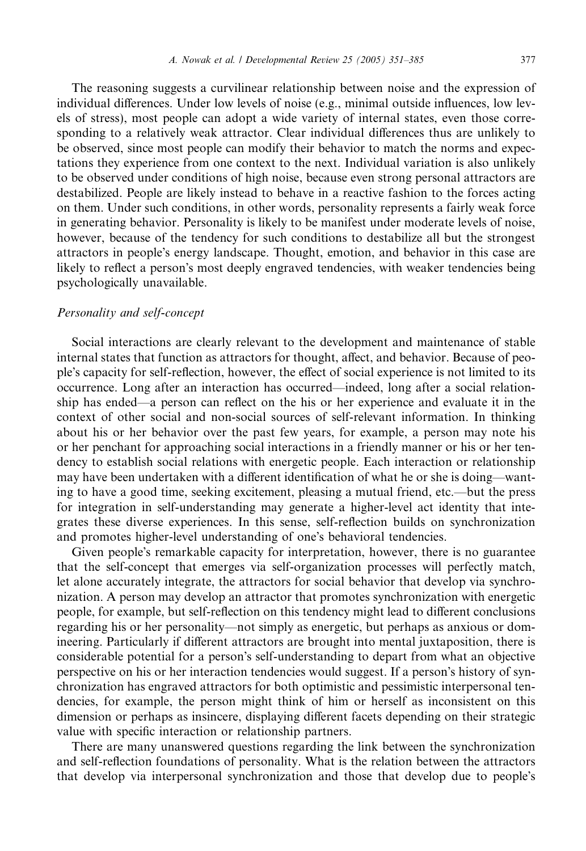The reasoning suggests a curvilinear relationship between noise and the expression of individual differences. Under low levels of noise (e.g., minimal outside influences, low levels of stress), most people can adopt a wide variety of internal states, even those corresponding to a relatively weak attractor. Clear individual differences thus are unlikely to be observed, since most people can modify their behavior to match the norms and expectations they experience from one context to the next. Individual variation is also unlikely to be observed under conditions of high noise, because even strong personal attractors are destabilized. People are likely instead to behave in a reactive fashion to the forces acting on them. Under such conditions, in other words, personality represents a fairly weak force in generating behavior. Personality is likely to be manifest under moderate levels of noise, however, because of the tendency for such conditions to destabilize all but the strongest attractors in peoples energy landscape. Thought, emotion, and behavior in this case are likely to reflect a person's most deeply engraved tendencies, with weaker tendencies being psychologically unavailable.

## Personality and self-concept

Social interactions are clearly relevant to the development and maintenance of stable internal states that function as attractors for thought, affect, and behavior. Because of people's capacity for self-reflection, however, the effect of social experience is not limited to its occurrence. Long after an interaction has occurred—indeed, long after a social relationship has ended—a person can reflect on the his or her experience and evaluate it in the context of other social and non-social sources of self-relevant information. In thinking about his or her behavior over the past few years, for example, a person may note his or her penchant for approaching social interactions in a friendly manner or his or her tendency to establish social relations with energetic people. Each interaction or relationship may have been undertaken with a different identification of what he or she is doing—wanting to have a good time, seeking excitement, pleasing a mutual friend, etc.—but the press for integration in self-understanding may generate a higher-level act identity that integrates these diverse experiences. In this sense, self-reflection builds on synchronization and promotes higher-level understanding of one's behavioral tendencies.

Given people's remarkable capacity for interpretation, however, there is no guarantee that the self-concept that emerges via self-organization processes will perfectly match, let alone accurately integrate, the attractors for social behavior that develop via synchronization. A person may develop an attractor that promotes synchronization with energetic people, for example, but self-reflection on this tendency might lead to different conclusions regarding his or her personality—not simply as energetic, but perhaps as anxious or domineering. Particularly if different attractors are brought into mental juxtaposition, there is considerable potential for a person's self-understanding to depart from what an objective perspective on his or her interaction tendencies would suggest. If a person's history of synchronization has engraved attractors for both optimistic and pessimistic interpersonal tendencies, for example, the person might think of him or herself as inconsistent on this dimension or perhaps as insincere, displaying different facets depending on their strategic value with specific interaction or relationship partners.

There are many unanswered questions regarding the link between the synchronization and self-reflection foundations of personality. What is the relation between the attractors that develop via interpersonal synchronization and those that develop due to peoples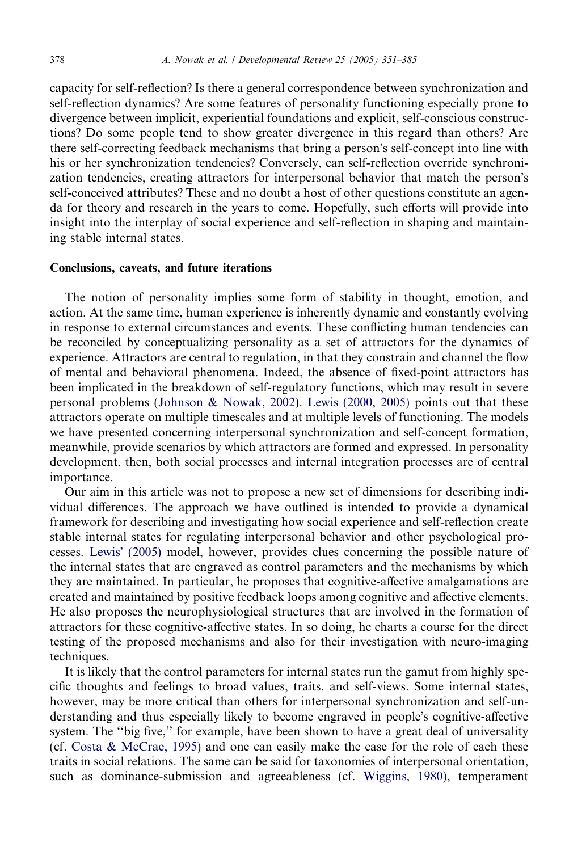capacity for self-reflection? Is there a general correspondence between synchronization and self-reflection dynamics? Are some features of personality functioning especially prone to divergence between implicit, experiential foundations and explicit, self-conscious constructions? Do some people tend to show greater divergence in this regard than others? Are there self-correcting feedback mechanisms that bring a person's self-concept into line with his or her synchronization tendencies? Conversely, can self-reflection override synchronization tendencies, creating attractors for interpersonal behavior that match the person's self-conceived attributes? These and no doubt a host of other questions constitute an agenda for theory and research in the years to come. Hopefully, such efforts will provide into insight into the interplay of social experience and self-reflection in shaping and maintaining stable internal states.

# Conclusions, caveats, and future iterations

The notion of personality implies some form of stability in thought, emotion, and action. At the same time, human experience is inherently dynamic and constantly evolving in response to external circumstances and events. These conflicting human tendencies can be reconciled by conceptualizing personality as a set of attractors for the dynamics of experience. Attractors are central to regulation, in that they constrain and channel the flow of mental and behavioral phenomena. Indeed, the absence of fixed-point attractors has been implicated in the breakdown of self-regulatory functions, which may result in severe personal problems ([Johnson & Nowak, 2002\)](#page-31-0). [Lewis \(2000, 2005\)](#page-32-0) points out that these attractors operate on multiple timescales and at multiple levels of functioning. The models we have presented concerning interpersonal synchronization and self-concept formation, meanwhile, provide scenarios by which attractors are formed and expressed. In personality development, then, both social processes and internal integration processes are of central importance.

Our aim in this article was not to propose a new set of dimensions for describing individual differences. The approach we have outlined is intended to provide a dynamical framework for describing and investigating how social experience and self-reflection create stable internal states for regulating interpersonal behavior and other psychological processes. Lewis [\(2005\)](#page-32-0) model, however, provides clues concerning the possible nature of the internal states that are engraved as control parameters and the mechanisms by which they are maintained. In particular, he proposes that cognitive-affective amalgamations are created and maintained by positive feedback loops among cognitive and affective elements. He also proposes the neurophysiological structures that are involved in the formation of attractors for these cognitive-affective states. In so doing, he charts a course for the direct testing of the proposed mechanisms and also for their investigation with neuro-imaging techniques.

It is likely that the control parameters for internal states run the gamut from highly specific thoughts and feelings to broad values, traits, and self-views. Some internal states, however, may be more critical than others for interpersonal synchronization and self-understanding and thus especially likely to become engraved in people's cognitive-affective system. The ''big five,'' for example, have been shown to have a great deal of universality (cf. [Costa & McCrae, 1995](#page-31-0)) and one can easily make the case for the role of each these traits in social relations. The same can be said for taxonomies of interpersonal orientation, such as dominance-submission and agreeableness (cf. [Wiggins, 1980\)](#page-34-0), temperament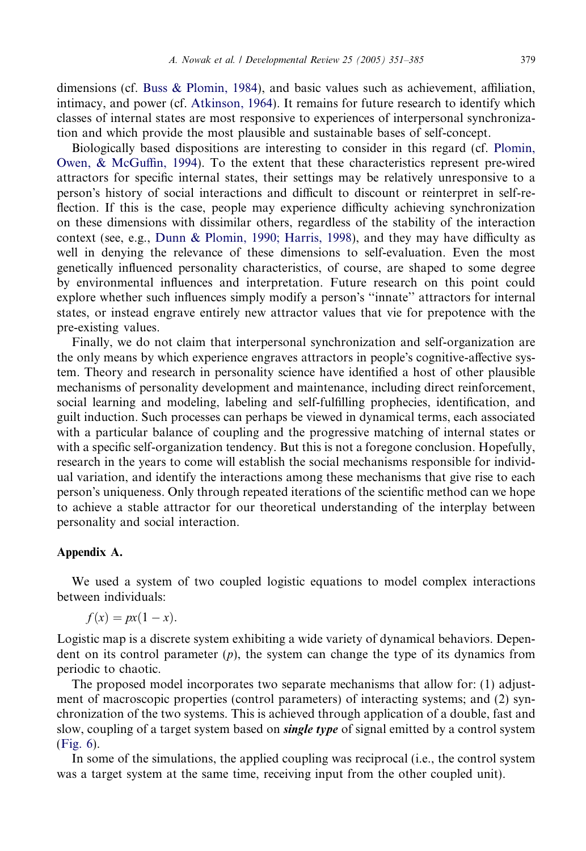dimensions (cf. [Buss & Plomin, 1984\)](#page-30-0), and basic values such as achievement, affiliation, intimacy, and power (cf. [Atkinson, 1964\)](#page-30-0). It remains for future research to identify which classes of internal states are most responsive to experiences of interpersonal synchronization and which provide the most plausible and sustainable bases of self-concept.

Biologically based dispositions are interesting to consider in this regard (cf. [Plomin,](#page-33-0) [Owen, & McGuffin, 1994\)](#page-33-0). To the extent that these characteristics represent pre-wired attractors for specific internal states, their settings may be relatively unresponsive to a person's history of social interactions and difficult to discount or reinterpret in self-reflection. If this is the case, people may experience difficulty achieving synchronization on these dimensions with dissimilar others, regardless of the stability of the interaction context (see, e.g., [Dunn & Plomin, 1990; Harris, 1998](#page-31-0)), and they may have difficulty as well in denying the relevance of these dimensions to self-evaluation. Even the most genetically influenced personality characteristics, of course, are shaped to some degree by environmental influences and interpretation. Future research on this point could explore whether such influences simply modify a person's "innate" attractors for internal states, or instead engrave entirely new attractor values that vie for prepotence with the pre-existing values.

Finally, we do not claim that interpersonal synchronization and self-organization are the only means by which experience engraves attractors in people's cognitive-affective system. Theory and research in personality science have identified a host of other plausible mechanisms of personality development and maintenance, including direct reinforcement, social learning and modeling, labeling and self-fulfilling prophecies, identification, and guilt induction. Such processes can perhaps be viewed in dynamical terms, each associated with a particular balance of coupling and the progressive matching of internal states or with a specific self-organization tendency. But this is not a foregone conclusion. Hopefully, research in the years to come will establish the social mechanisms responsible for individual variation, and identify the interactions among these mechanisms that give rise to each person's uniqueness. Only through repeated iterations of the scientific method can we hope to achieve a stable attractor for our theoretical understanding of the interplay between personality and social interaction.

## Appendix A.

We used a system of two coupled logistic equations to model complex interactions between individuals:

$$
f(x) = px(1 - x).
$$

Logistic map is a discrete system exhibiting a wide variety of dynamical behaviors. Dependent on its control parameter  $(p)$ , the system can change the type of its dynamics from periodic to chaotic.

The proposed model incorporates two separate mechanisms that allow for: (1) adjustment of macroscopic properties (control parameters) of interacting systems; and (2) synchronization of the two systems. This is achieved through application of a double, fast and slow, coupling of a target system based on *single type* of signal emitted by a control system ([Fig. 6](#page-29-0)).

In some of the simulations, the applied coupling was reciprocal (i.e., the control system was a target system at the same time, receiving input from the other coupled unit).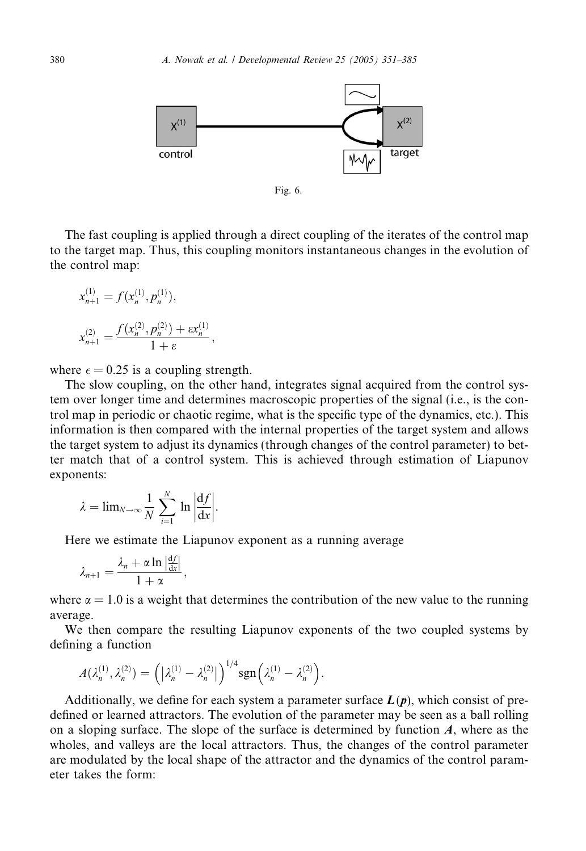<span id="page-29-0"></span>

Fig. 6.

The fast coupling is applied through a direct coupling of the iterates of the control map to the target map. Thus, this coupling monitors instantaneous changes in the evolution of the control map:

$$
x_{n+1}^{(1)} = f(x_n^{(1)}, p_n^{(1)}),
$$
  

$$
x_{n+1}^{(2)} = \frac{f(x_n^{(2)}, p_n^{(2)}) + \varepsilon x_n^{(1)}}{1 + \varepsilon},
$$

where  $\epsilon = 0.25$  is a coupling strength.

The slow coupling, on the other hand, integrates signal acquired from the control system over longer time and determines macroscopic properties of the signal (i.e., is the control map in periodic or chaotic regime, what is the specific type of the dynamics, etc.). This information is then compared with the internal properties of the target system and allows the target system to adjust its dynamics (through changes of the control parameter) to better match that of a control system. This is achieved through estimation of Liapunov exponents:

$$
\lambda = \lim_{N \to \infty} \frac{1}{N} \sum_{i=1}^{N} \ln \left| \frac{\mathrm{d}f}{\mathrm{d}x} \right|.
$$

Here we estimate the Liapunov exponent as a running average

$$
\lambda_{n+1} = \frac{\lambda_n + \alpha \ln \left| \frac{df}{dx} \right|}{1 + \alpha},
$$

where  $\alpha = 1.0$  is a weight that determines the contribution of the new value to the running average.

We then compare the resulting Liapunov exponents of the two coupled systems by defining a function

$$
A(\lambda_n^{(1)}, \lambda_n^{(2)}) = (|\lambda_n^{(1)} - \lambda_n^{(2)}|)^{1/4} \text{sgn}(\lambda_n^{(1)} - \lambda_n^{(2)}).
$$

Additionally, we define for each system a parameter surface  $L(p)$ , which consist of predefined or learned attractors. The evolution of the parameter may be seen as a ball rolling on a sloping surface. The slope of the surface is determined by function  $\vec{A}$ , where as the wholes, and valleys are the local attractors. Thus, the changes of the control parameter are modulated by the local shape of the attractor and the dynamics of the control parameter takes the form: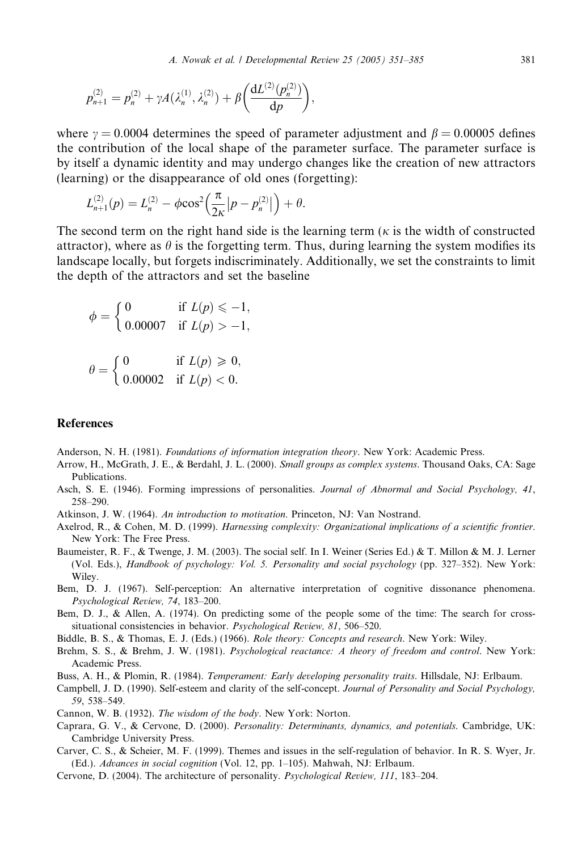<span id="page-30-0"></span>
$$
p_{n+1}^{(2)} = p_n^{(2)} + \gamma A(\lambda_n^{(1)}, \lambda_n^{(2)}) + \beta \left( \frac{\mathrm{d} L^{(2)}(p_n^{(2)})}{\mathrm{d} p} \right),
$$

where  $\gamma = 0.0004$  determines the speed of parameter adjustment and  $\beta = 0.00005$  defines the contribution of the local shape of the parameter surface. The parameter surface is by itself a dynamic identity and may undergo changes like the creation of new attractors (learning) or the disappearance of old ones (forgetting):

$$
L_{n+1}^{(2)}(p) = L_n^{(2)} - \phi \cos^2 \left( \frac{\pi}{2\kappa} \left| p - p_n^{(2)} \right| \right) + \theta.
$$

The second term on the right hand side is the learning term ( $\kappa$  is the width of constructed attractor), where as  $\theta$  is the forgetting term. Thus, during learning the system modifies its landscape locally, but forgets indiscriminately. Additionally, we set the constraints to limit the depth of the attractors and set the baseline

$$
\phi = \begin{cases} 0 & \text{if } L(p) \le -1, \\ 0.00007 & \text{if } L(p) > -1, \end{cases}
$$

$$
\theta = \begin{cases} 0 & \text{if } L(p) \ge 0, \\ 0.00002 & \text{if } L(p) < 0. \end{cases}
$$

$$
\begin{array}{c}\n\text{...} \\
\text{...} \\
\end{array}
$$

# **References**

Anderson, N. H. (1981). Foundations of information integration theory. New York: Academic Press.

- Arrow, H., McGrath, J. E., & Berdahl, J. L. (2000). Small groups as complex systems. Thousand Oaks, CA: Sage Publications.
- Asch, S. E. (1946). Forming impressions of personalities. Journal of Abnormal and Social Psychology, 41, 258–290.
- Atkinson, J. W. (1964). An introduction to motivation. Princeton, NJ: Van Nostrand.
- Axelrod, R., & Cohen, M. D. (1999). Harnessing complexity: Organizational implications of a scientific frontier. New York: The Free Press.
- Baumeister, R. F., & Twenge, J. M. (2003). The social self. In I. Weiner (Series Ed.) & T. Millon & M. J. Lerner (Vol. Eds.), Handbook of psychology: Vol. 5. Personality and social psychology (pp. 327–352). New York: Wiley.
- Bem, D. J. (1967). Self-perception: An alternative interpretation of cognitive dissonance phenomena. Psychological Review, 74, 183–200.
- Bem, D. J., & Allen, A. (1974). On predicting some of the people some of the time: The search for crosssituational consistencies in behavior. Psychological Review, 81, 506–520.
- Biddle, B. S., & Thomas, E. J. (Eds.) (1966). Role theory: Concepts and research. New York: Wiley.
- Brehm, S. S., & Brehm, J. W. (1981). Psychological reactance: A theory of freedom and control. New York: Academic Press.
- Buss, A. H., & Plomin, R. (1984). Temperament: Early developing personality traits. Hillsdale, NJ: Erlbaum.
- Campbell, J. D. (1990). Self-esteem and clarity of the self-concept. Journal of Personality and Social Psychology, 59, 538–549.
- Cannon, W. B. (1932). The wisdom of the body. New York: Norton.
- Caprara, G. V., & Cervone, D. (2000). Personality: Determinants, dynamics, and potentials. Cambridge, UK: Cambridge University Press.
- Carver, C. S., & Scheier, M. F. (1999). Themes and issues in the self-regulation of behavior. In R. S. Wyer, Jr. (Ed.). Advances in social cognition (Vol. 12, pp. 1–105). Mahwah, NJ: Erlbaum.
- Cervone, D. (2004). The architecture of personality. Psychological Review, 111, 183–204.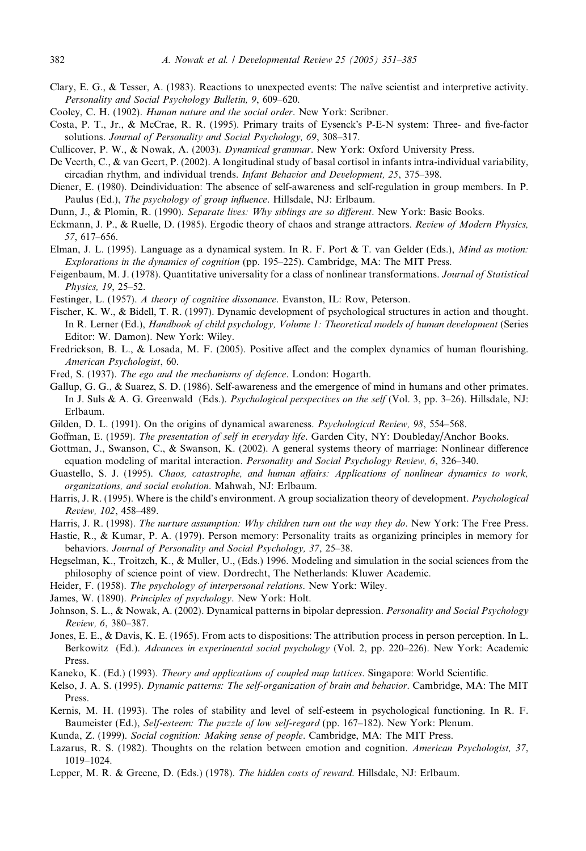- <span id="page-31-0"></span>Clary, E. G., & Tesser, A. (1983). Reactions to unexpected events: The naïve scientist and interpretive activity. Personality and Social Psychology Bulletin, 9, 609–620.
- Cooley, C. H. (1902). Human nature and the social order. New York: Scribner.
- Costa, P. T., Jr., & McCrae, R. R. (1995). Primary traits of Eysenck's P-E-N system: Three- and five-factor solutions. Journal of Personality and Social Psychology, 69, 308–317.
- Cullicover, P. W., & Nowak, A. (2003). Dynamical grammar. New York: Oxford University Press.
- De Veerth, C., & van Geert, P. (2002). A longitudinal study of basal cortisol in infants intra-individual variability, circadian rhythm, and individual trends. Infant Behavior and Development, 25, 375–398.
- Diener, E. (1980). Deindividuation: The absence of self-awareness and self-regulation in group members. In P. Paulus (Ed.), The psychology of group influence. Hillsdale, NJ: Erlbaum.
- Dunn, J., & Plomin, R. (1990). Separate lives: Why siblings are so different. New York: Basic Books.
- Eckmann, J. P., & Ruelle, D. (1985). Ergodic theory of chaos and strange attractors. Review of Modern Physics, 57, 617–656.
- Elman, J. L. (1995). Language as a dynamical system. In R. F. Port & T. van Gelder (Eds.), Mind as motion: Explorations in the dynamics of cognition (pp. 195–225). Cambridge, MA: The MIT Press.
- Feigenbaum, M. J. (1978). Quantitative universality for a class of nonlinear transformations. *Journal of Statistical* Physics, 19, 25–52.
- Festinger, L. (1957). A theory of cognitive dissonance. Evanston, IL: Row, Peterson.
- Fischer, K. W., & Bidell, T. R. (1997). Dynamic development of psychological structures in action and thought. In R. Lerner (Ed.), Handbook of child psychology, Volume 1: Theoretical models of human development (Series Editor: W. Damon). New York: Wiley.
- Fredrickson, B. L., & Losada, M. F. (2005). Positive affect and the complex dynamics of human flourishing. American Psychologist, 60.
- Fred, S. (1937). The ego and the mechanisms of defence. London: Hogarth.
- Gallup, G. G., & Suarez, S. D. (1986). Self-awareness and the emergence of mind in humans and other primates. In J. Suls & A. G. Greenwald (Eds.). *Psychological perspectives on the self* (Vol. 3, pp. 3–26). Hillsdale, NJ: Erlbaum.
- Gilden, D. L. (1991). On the origins of dynamical awareness. *Psychological Review*, 98, 554–568.
- Goffman, E. (1959). The presentation of self in everyday life. Garden City, NY: Doubleday/Anchor Books.
- Gottman, J., Swanson, C., & Swanson, K. (2002). A general systems theory of marriage: Nonlinear difference equation modeling of marital interaction. Personality and Social Psychology Review, 6, 326–340.
- Guastello, S. J. (1995). Chaos, catastrophe, and human affairs: Applications of nonlinear dynamics to work, organizations, and social evolution. Mahwah, NJ: Erlbaum.
- Harris, J. R. (1995). Where is the child's environment. A group socialization theory of development. *Psychological* Review, 102, 458–489.
- Harris, J. R. (1998). The nurture assumption: Why children turn out the way they do. New York: The Free Press.
- Hastie, R., & Kumar, P. A. (1979). Person memory: Personality traits as organizing principles in memory for behaviors. Journal of Personality and Social Psychology, 37, 25-38.
- Hegselman, K., Troitzch, K., & Muller, U., (Eds.) 1996. Modeling and simulation in the social sciences from the philosophy of science point of view. Dordrecht, The Netherlands: Kluwer Academic.
- Heider, F. (1958). The psychology of interpersonal relations. New York: Wiley.
- James, W. (1890). Principles of psychology. New York: Holt.
- Johnson, S. L., & Nowak, A. (2002). Dynamical patterns in bipolar depression. Personality and Social Psychology Review, 6, 380–387.
- Jones, E. E., & Davis, K. E. (1965). From acts to dispositions: The attribution process in person perception. In L. Berkowitz (Ed.). Advances in experimental social psychology (Vol. 2, pp. 220–226). New York: Academic Press.
- Kaneko, K. (Ed.) (1993). Theory and applications of coupled map lattices. Singapore: World Scientific.
- Kelso, J. A. S. (1995). Dynamic patterns: The self-organization of brain and behavior. Cambridge, MA: The MIT Press.
- Kernis, M. H. (1993). The roles of stability and level of self-esteem in psychological functioning. In R. F. Baumeister (Ed.), Self-esteem: The puzzle of low self-regard (pp. 167-182). New York: Plenum.
- Kunda, Z. (1999). Social cognition: Making sense of people. Cambridge, MA: The MIT Press.
- Lazarus, R. S. (1982). Thoughts on the relation between emotion and cognition. American Psychologist, 37, 1019–1024.
- Lepper, M. R. & Greene, D. (Eds.) (1978). The hidden costs of reward. Hillsdale, NJ: Erlbaum.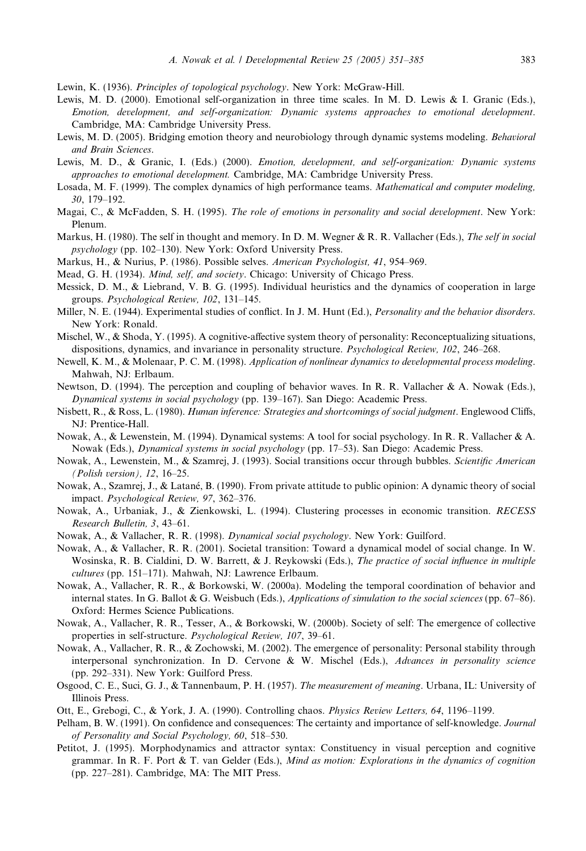- <span id="page-32-0"></span>Lewin, K. (1936). Principles of topological psychology. New York: McGraw-Hill.
- Lewis, M. D. (2000). Emotional self-organization in three time scales. In M. D. Lewis & I. Granic (Eds.), Emotion, development, and self-organization: Dynamic systems approaches to emotional development. Cambridge, MA: Cambridge University Press.
- Lewis, M. D. (2005). Bridging emotion theory and neurobiology through dynamic systems modeling. Behavioral and Brain Sciences.
- Lewis, M. D., & Granic, I. (Eds.) (2000). Emotion, development, and self-organization: Dynamic systems approaches to emotional development. Cambridge, MA: Cambridge University Press.
- Losada, M. F. (1999). The complex dynamics of high performance teams. Mathematical and computer modeling, 30, 179–192.
- Magai, C., & McFadden, S. H. (1995). The role of emotions in personality and social development. New York: Plenum.
- Markus, H. (1980). The self in thought and memory. In D. M. Wegner & R. R. Vallacher (Eds.), The self in social psychology (pp. 102–130). New York: Oxford University Press.
- Markus, H., & Nurius, P. (1986). Possible selves. American Psychologist, 41, 954–969.
- Mead, G. H. (1934). Mind, self, and society. Chicago: University of Chicago Press.
- Messick, D. M., & Liebrand, V. B. G. (1995). Individual heuristics and the dynamics of cooperation in large groups. Psychological Review, 102, 131–145.
- Miller, N. E. (1944). Experimental studies of conflict. In J. M. Hunt (Ed.), Personality and the behavior disorders. New York: Ronald.
- Mischel, W., & Shoda, Y. (1995). A cognitive-affective system theory of personality: Reconceptualizing situations, dispositions, dynamics, and invariance in personality structure. Psychological Review, 102, 246–268.
- Newell, K. M., & Molenaar, P. C. M. (1998). Application of nonlinear dynamics to developmental process modeling. Mahwah, NJ: Erlbaum.
- Newtson, D. (1994). The perception and coupling of behavior waves. In R. R. Vallacher & A. Nowak (Eds.), Dynamical systems in social psychology (pp. 139–167). San Diego: Academic Press.
- Nisbett, R., & Ross, L. (1980). Human inference: Strategies and shortcomings of social judgment. Englewood Cliffs, NJ: Prentice-Hall.
- Nowak, A., & Lewenstein, M. (1994). Dynamical systems: A tool for social psychology. In R. R. Vallacher & A. Nowak (Eds.), Dynamical systems in social psychology (pp. 17–53). San Diego: Academic Press.
- Nowak, A., Lewenstein, M., & Szamrej, J. (1993). Social transitions occur through bubbles. Scientific American (Polish version), 12, 16–25.
- Nowak, A., Szamrej, J., & Latané, B. (1990). From private attitude to public opinion: A dynamic theory of social impact. Psychological Review, 97, 362–376.
- Nowak, A., Urbaniak, J., & Zienkowski, L. (1994). Clustering processes in economic transition. RECESS Research Bulletin, 3, 43–61.
- Nowak, A., & Vallacher, R. R. (1998). Dynamical social psychology. New York: Guilford.
- Nowak, A., & Vallacher, R. R. (2001). Societal transition: Toward a dynamical model of social change. In W. Wosinska, R. B. Cialdini, D. W. Barrett, & J. Reykowski (Eds.), The practice of social influence in multiple cultures (pp. 151–171). Mahwah, NJ: Lawrence Erlbaum.
- Nowak, A., Vallacher, R. R., & Borkowski, W. (2000a). Modeling the temporal coordination of behavior and internal states. In G. Ballot & G. Weisbuch (Eds.), *Applications of simulation to the social sciences* (pp. 67–86). Oxford: Hermes Science Publications.
- Nowak, A., Vallacher, R. R., Tesser, A., & Borkowski, W. (2000b). Society of self: The emergence of collective properties in self-structure. Psychological Review, 107, 39–61.
- Nowak, A., Vallacher, R. R., & Zochowski, M. (2002). The emergence of personality: Personal stability through interpersonal synchronization. In D. Cervone & W. Mischel (Eds.), Advances in personality science (pp. 292–331). New York: Guilford Press.
- Osgood, C. E., Suci, G. J., & Tannenbaum, P. H. (1957). The measurement of meaning. Urbana, IL: University of Illinois Press.
- Ott, E., Grebogi, C., & York, J. A. (1990). Controlling chaos. Physics Review Letters, 64, 1196–1199.
- Pelham, B. W. (1991). On confidence and consequences: The certainty and importance of self-knowledge. Journal of Personality and Social Psychology, 60, 518–530.
- Petitot, J. (1995). Morphodynamics and attractor syntax: Constituency in visual perception and cognitive grammar. In R. F. Port & T. van Gelder (Eds.), Mind as motion: Explorations in the dynamics of cognition (pp. 227–281). Cambridge, MA: The MIT Press.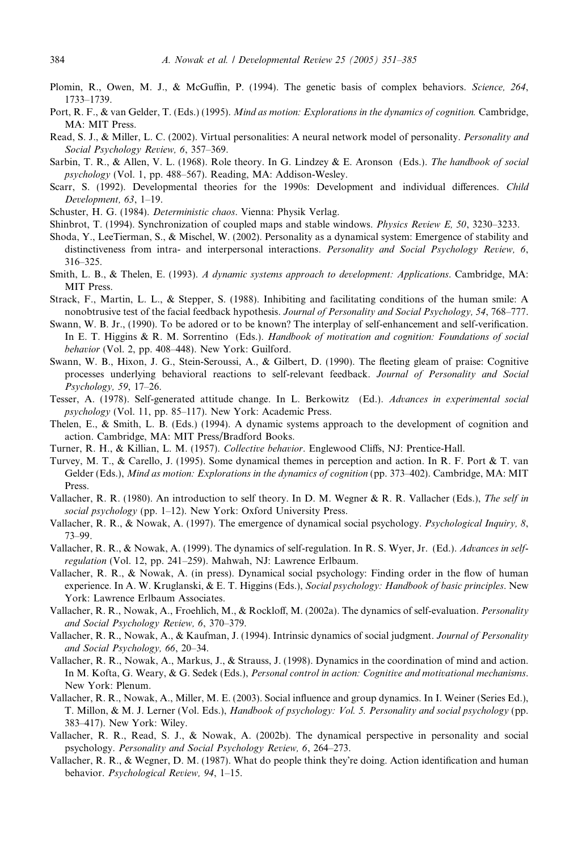- <span id="page-33-0"></span>Plomin, R., Owen, M. J., & McGuffin, P. (1994). The genetic basis of complex behaviors. Science, 264, 1733–1739.
- Port, R. F., & van Gelder, T. (Eds.) (1995). *Mind as motion: Explorations in the dynamics of cognition*. Cambridge, MA: MIT Press.
- Read, S. J., & Miller, L. C. (2002). Virtual personalities: A neural network model of personality. Personality and Social Psychology Review, 6, 357–369.
- Sarbin, T. R., & Allen, V. L. (1968). Role theory. In G. Lindzey & E. Aronson (Eds.). The handbook of social psychology (Vol. 1, pp. 488–567). Reading, MA: Addison-Wesley.
- Scarr, S. (1992). Developmental theories for the 1990s: Development and individual differences. Child Development, 63, 1–19.
- Schuster, H. G. (1984). Deterministic chaos. Vienna: Physik Verlag.
- Shinbrot, T. (1994). Synchronization of coupled maps and stable windows. Physics Review E, 50, 3230–3233.
- Shoda, Y., LeeTierman, S., & Mischel, W. (2002). Personality as a dynamical system: Emergence of stability and distinctiveness from intra- and interpersonal interactions. Personality and Social Psychology Review, 6, 316–325.
- Smith, L. B., & Thelen, E. (1993). A dynamic systems approach to development: Applications. Cambridge, MA: MIT Press.
- Strack, F., Martin, L. L., & Stepper, S. (1988). Inhibiting and facilitating conditions of the human smile: A nonobtrusive test of the facial feedback hypothesis. Journal of Personality and Social Psychology, 54, 768–777.
- Swann, W. B. Jr., (1990). To be adored or to be known? The interplay of self-enhancement and self-verification. In E. T. Higgins & R. M. Sorrentino (Eds.). Handbook of motivation and cognition: Foundations of social behavior (Vol. 2, pp. 408–448). New York: Guilford.
- Swann, W. B., Hixon, J. G., Stein-Seroussi, A., & Gilbert, D. (1990). The fleeting gleam of praise: Cognitive processes underlying behavioral reactions to self-relevant feedback. Journal of Personality and Social Psychology, 59, 17–26.
- Tesser, A. (1978). Self-generated attitude change. In L. Berkowitz (Ed.). Advances in experimental social psychology (Vol. 11, pp. 85–117). New York: Academic Press.
- Thelen, E., & Smith, L. B. (Eds.) (1994). A dynamic systems approach to the development of cognition and action. Cambridge, MA: MIT Press/Bradford Books.
- Turner, R. H., & Killian, L. M. (1957). Collective behavior. Englewood Cliffs, NJ: Prentice-Hall.
- Turvey, M. T., & Carello, J. (1995). Some dynamical themes in perception and action. In R. F. Port & T. van Gelder (Eds.), Mind as motion: Explorations in the dynamics of cognition (pp. 373–402). Cambridge, MA: MIT Press.
- Vallacher, R. R. (1980). An introduction to self theory. In D. M. Wegner & R. R. Vallacher (Eds.), The self in social psychology (pp. 1-12). New York: Oxford University Press.
- Vallacher, R. R., & Nowak, A. (1997). The emergence of dynamical social psychology. Psychological Inquiry, 8, 73–99.
- Vallacher, R. R., & Nowak, A. (1999). The dynamics of self-regulation. In R. S. Wyer, Jr. (Ed.). Advances in selfregulation (Vol. 12, pp. 241–259). Mahwah, NJ: Lawrence Erlbaum.
- Vallacher, R. R., & Nowak, A. (in press). Dynamical social psychology: Finding order in the flow of human experience. In A. W. Kruglanski, & E. T. Higgins (Eds.), Social psychology: Handbook of basic principles. New York: Lawrence Erlbaum Associates.
- Vallacher, R. R., Nowak, A., Froehlich, M., & Rockloff, M. (2002a). The dynamics of self-evaluation. *Personality* and Social Psychology Review, 6, 370–379.
- Vallacher, R. R., Nowak, A., & Kaufman, J. (1994). Intrinsic dynamics of social judgment. Journal of Personality and Social Psychology, 66, 20–34.
- Vallacher, R. R., Nowak, A., Markus, J., & Strauss, J. (1998). Dynamics in the coordination of mind and action. In M. Kofta, G. Weary, & G. Sedek (Eds.), Personal control in action: Cognitive and motivational mechanisms. New York: Plenum.
- Vallacher, R. R., Nowak, A., Miller, M. E. (2003). Social influence and group dynamics. In I. Weiner (Series Ed.), T. Millon, & M. J. Lerner (Vol. Eds.), Handbook of psychology: Vol. 5. Personality and social psychology (pp. 383–417). New York: Wiley.
- Vallacher, R. R., Read, S. J., & Nowak, A. (2002b). The dynamical perspective in personality and social psychology. Personality and Social Psychology Review, 6, 264–273.
- Vallacher, R. R., & Wegner, D. M. (1987). What do people think they're doing. Action identification and human behavior. Psychological Review, 94, 1–15.